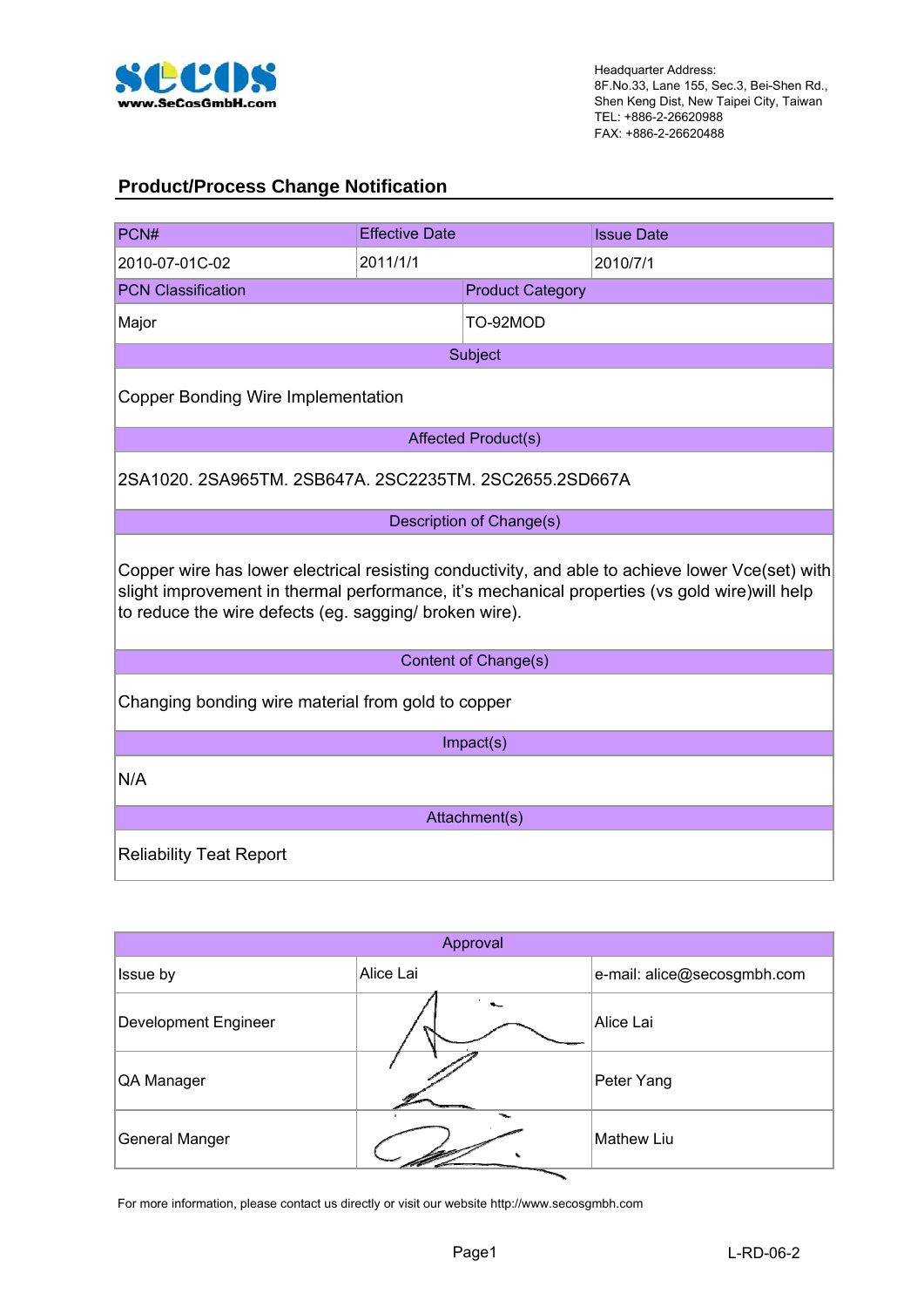

#### **Product/Process Change Notification**

| PCN#                                                                                                                                                     | <b>Effective Date</b> |                            | <b>Issue Date</b>                                                                                |  |  |  |  |
|----------------------------------------------------------------------------------------------------------------------------------------------------------|-----------------------|----------------------------|--------------------------------------------------------------------------------------------------|--|--|--|--|
| 2010-07-01C-02                                                                                                                                           | 2011/1/1              |                            | 2010/7/1                                                                                         |  |  |  |  |
| <b>PCN Classification</b>                                                                                                                                |                       | <b>Product Category</b>    |                                                                                                  |  |  |  |  |
| Major                                                                                                                                                    |                       | TO-92MOD                   |                                                                                                  |  |  |  |  |
|                                                                                                                                                          |                       | Subject                    |                                                                                                  |  |  |  |  |
| <b>Copper Bonding Wire Implementation</b>                                                                                                                |                       |                            |                                                                                                  |  |  |  |  |
|                                                                                                                                                          |                       | <b>Affected Product(s)</b> |                                                                                                  |  |  |  |  |
| 2SA1020, 2SA965TM, 2SB647A, 2SC2235TM, 2SC2655, 2SD667A                                                                                                  |                       |                            |                                                                                                  |  |  |  |  |
|                                                                                                                                                          |                       | Description of Change(s)   |                                                                                                  |  |  |  |  |
| slight improvement in thermal performance, it's mechanical properties (vs gold wire) will help<br>to reduce the wire defects (eg. sagging/ broken wire). |                       |                            | Copper wire has lower electrical resisting conductivity, and able to achieve lower Vce(set) with |  |  |  |  |
|                                                                                                                                                          |                       | Content of Change(s)       |                                                                                                  |  |  |  |  |
| Changing bonding wire material from gold to copper                                                                                                       |                       |                            |                                                                                                  |  |  |  |  |
|                                                                                                                                                          |                       | Impact(s)                  |                                                                                                  |  |  |  |  |
| N/A                                                                                                                                                      |                       |                            |                                                                                                  |  |  |  |  |
|                                                                                                                                                          |                       | Attachment(s)              |                                                                                                  |  |  |  |  |
| <b>Reliability Teat Report</b>                                                                                                                           |                       |                            |                                                                                                  |  |  |  |  |

| Approval              |                          |                             |  |  |  |  |  |
|-----------------------|--------------------------|-----------------------------|--|--|--|--|--|
| Issue by              | Alice Lai                | e-mail: alice@secosgmbh.com |  |  |  |  |  |
| Development Engineer  |                          | Alice Lai                   |  |  |  |  |  |
| QA Manager            |                          | Peter Yang                  |  |  |  |  |  |
| <b>General Manger</b> | $\overline{\phantom{a}}$ | Mathew Liu                  |  |  |  |  |  |

For more information, please contact us directly or visit our website http://www.secosgmbh.com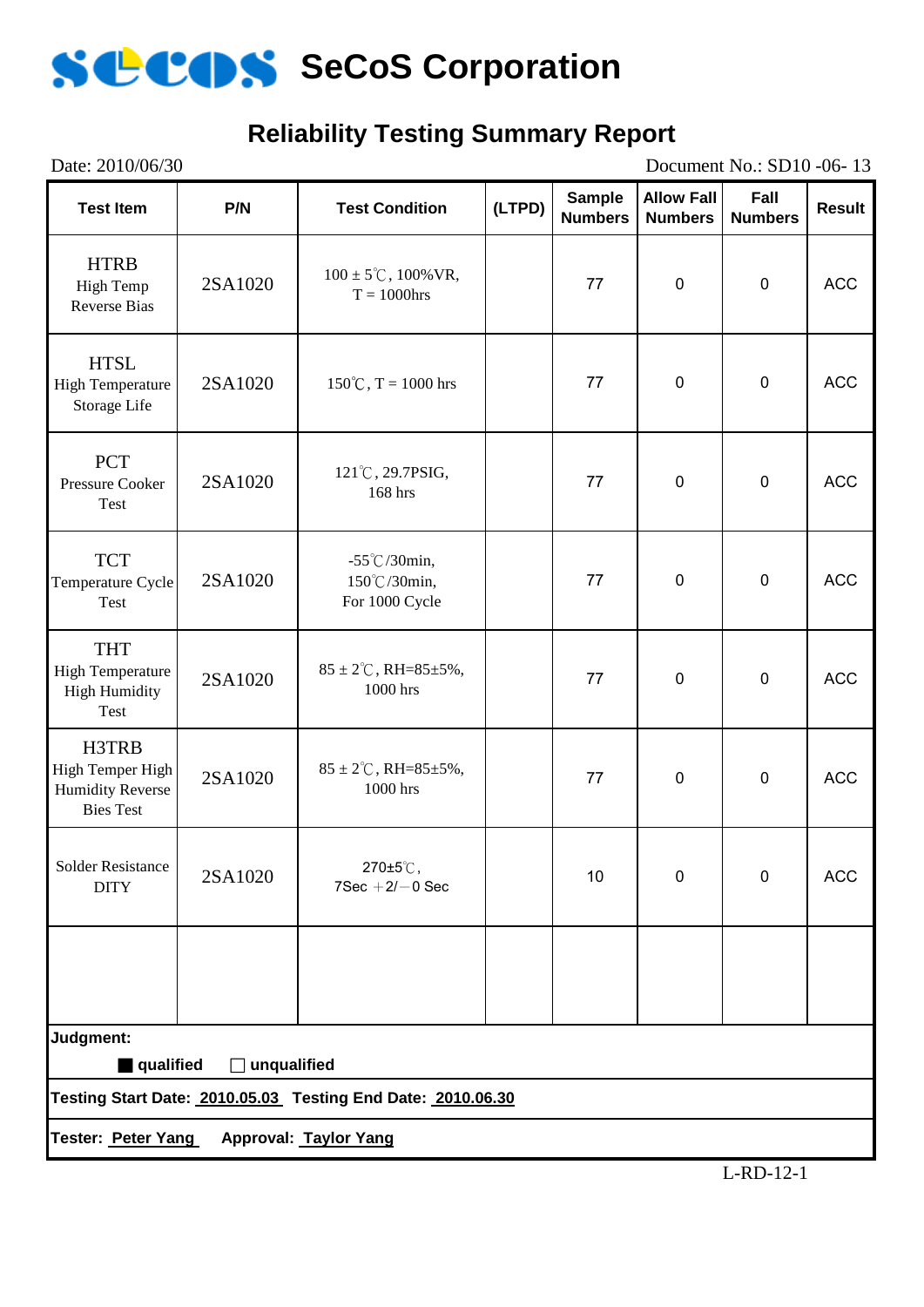

# **Reliability Testing Summary Report**

| Date: 2010/06/30<br>Document No.: SD10 -06-13                            |             |                                                             |        |                                 |                                     |                        |               |
|--------------------------------------------------------------------------|-------------|-------------------------------------------------------------|--------|---------------------------------|-------------------------------------|------------------------|---------------|
| <b>Test Item</b>                                                         | P/N         | <b>Test Condition</b>                                       | (LTPD) | <b>Sample</b><br><b>Numbers</b> | <b>Allow Fall</b><br><b>Numbers</b> | Fall<br><b>Numbers</b> | <b>Result</b> |
| <b>HTRB</b><br><b>High Temp</b><br><b>Reverse Bias</b>                   | 2SA1020     | $100 \pm 5^{\circ}$ C, $100\%$ VR,<br>$T = 1000$ hrs        |        | 77                              | $\boldsymbol{0}$                    | $\mathbf 0$            | <b>ACC</b>    |
| <b>HTSL</b><br><b>High Temperature</b><br>Storage Life                   | 2SA1020     | $150^{\circ}$ C, T = 1000 hrs                               |        | 77                              | $\pmb{0}$                           | $\pmb{0}$              | <b>ACC</b>    |
| <b>PCT</b><br>Pressure Cooker<br>Test                                    | 2SA1020     | 121°C, 29.7PSIG,<br>77<br>168 hrs                           |        |                                 | $\mathbf 0$                         | $\mathbf 0$            | <b>ACC</b>    |
| <b>TCT</b><br>Temperature Cycle<br>Test                                  | 2SA1020     | $-55^{\circ}$ C/30min,<br>150℃/30min,<br>For 1000 Cycle     |        | 77                              | $\pmb{0}$                           | $\pmb{0}$              | <b>ACC</b>    |
| <b>THT</b><br><b>High Temperature</b><br><b>High Humidity</b><br>Test    | 2SA1020     | $85 \pm 2^{\circ}$ C, RH= $85 \pm 5\%$ ,<br>1000 hrs        |        | 77                              | $\mathbf 0$                         | $\pmb{0}$              | <b>ACC</b>    |
| H3TRB<br>High Temper High<br><b>Humidity Reverse</b><br><b>Bies Test</b> | 2SA1020     | $85 \pm 2^{\circ}$ C, RH= $85 \pm 5\%$ ,<br>1000 hrs        |        | 77                              | $\pmb{0}$                           | $\mathbf 0$            | <b>ACC</b>    |
| <b>Solder Resistance</b><br><b>DITY</b>                                  | 2SA1020     | 270±5℃,<br>$7$ Sec $+2$ / $-0$ Sec                          |        | 10                              | $\mathbf 0$                         | $\mathbf 0$            | <b>ACC</b>    |
|                                                                          |             |                                                             |        |                                 |                                     |                        |               |
| Judgment:                                                                |             |                                                             |        |                                 |                                     |                        |               |
| qualified                                                                | unqualified | Testing Start Date: 2010.05.03 Testing End Date: 2010.06.30 |        |                                 |                                     |                        |               |
| Tester: Peter Yang                                                       |             | Approval: Taylor Yang                                       |        |                                 |                                     |                        |               |
|                                                                          |             |                                                             |        |                                 |                                     |                        |               |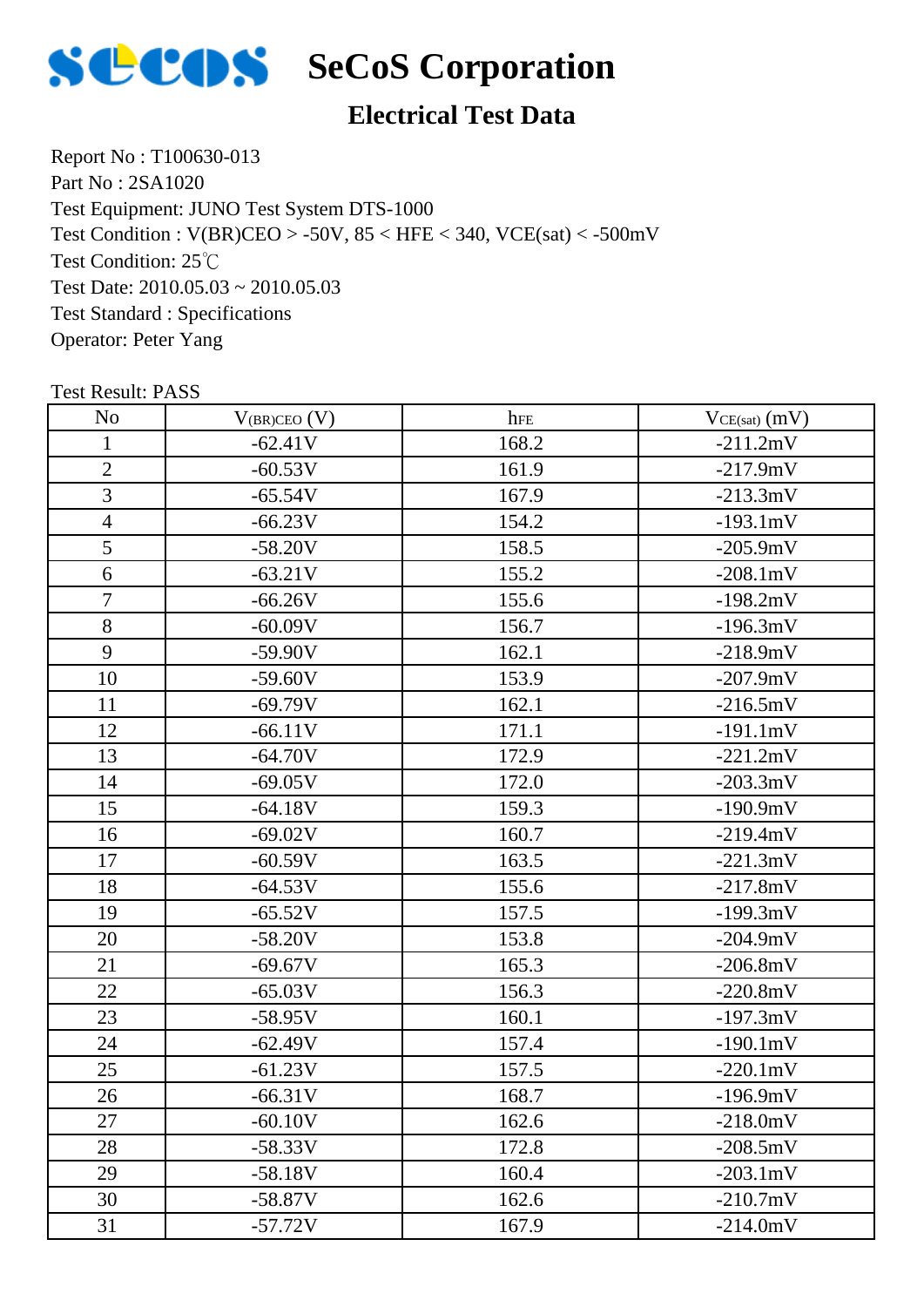

# **Electrical Test Data**

Report No : T100630-013 Part No : 2SA1020 Test Equipment: JUNO Test System DTS-1000 Test Condition: 25℃ Test Date: 2010.05.03 ~ 2010.05.03 Test Standard : Specifications Operator: Peter Yang Test Condition : V(BR)CEO > -50V, 85 < HFE < 340, VCE(sat) < -500mV

| N <sub>o</sub> | $V_{(BR)CEO} (V)$ | hFE   | $VCE(sat)$ $(mV)$  |
|----------------|-------------------|-------|--------------------|
| $\mathbf{1}$   | $-62.41V$         | 168.2 | $-211.2mV$         |
| $\overline{2}$ | $-60.53V$         | 161.9 | $-217.9mV$         |
| 3              | $-65.54V$         | 167.9 | $-213.3mV$         |
| $\overline{4}$ | $-66.23V$         | 154.2 | $-193.1mV$         |
| 5              | $-58.20V$         | 158.5 | $-205.9mV$         |
| 6              | $-63.21V$         | 155.2 | $-208.1 \text{mV}$ |
| $\overline{7}$ | $-66.26V$         | 155.6 | $-198.2mV$         |
| $8\,$          | $-60.09V$         | 156.7 | $-196.3mV$         |
| 9              | $-59.90V$         | 162.1 | $-218.9mV$         |
| 10             | $-59.60V$         | 153.9 | $-207.9mV$         |
| 11             | $-69.79V$         | 162.1 | $-216.5mV$         |
| 12             | $-66.11V$         | 171.1 | $-191.1mV$         |
| 13             | $-64.70V$         | 172.9 | $-221.2mV$         |
| 14             | $-69.05V$         | 172.0 | $-203.3mV$         |
| 15             | $-64.18V$         | 159.3 | $-190.9mV$         |
| 16             | $-69.02V$         | 160.7 | $-219.4mV$         |
| 17             | $-60.59V$         | 163.5 | $-221.3mV$         |
| 18             | $-64.53V$         | 155.6 | $-217.8mV$         |
| 19             | $-65.52V$         | 157.5 | $-199.3mV$         |
| 20             | $-58.20V$         | 153.8 | $-204.9mV$         |
| 21             | $-69.67V$         | 165.3 | $-206.8mV$         |
| 22             | $-65.03V$         | 156.3 | $-220.8mV$         |
| 23             | $-58.95V$         | 160.1 | $-197.3mV$         |
| 24             | $-62.49V$         | 157.4 | $-190.1mV$         |
| 25             | $-61.23V$         | 157.5 | $-220.1mV$         |
| 26             | $-66.31V$         | 168.7 | $-196.9mV$         |
| 27             | $-60.10V$         | 162.6 | $-218.0mV$         |
| 28             | $-58.33V$         | 172.8 | $-208.5mV$         |
| 29             | $-58.18V$         | 160.4 | $-203.1 \text{mV}$ |
| 30             | $-58.87V$         | 162.6 | $-210.7mV$         |
| 31             | $-57.72V$         | 167.9 | $-214.0mV$         |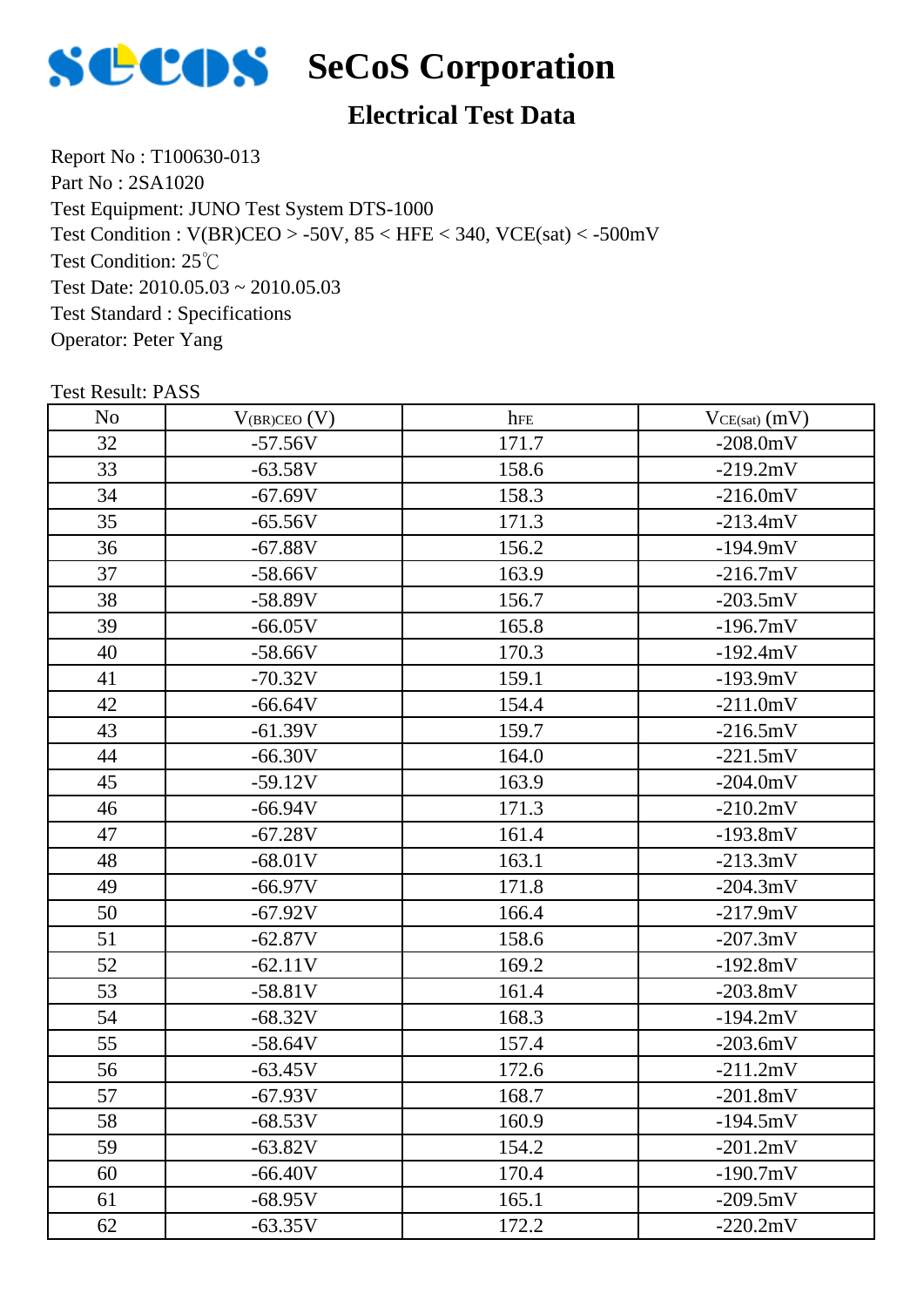

# **Electrical Test Data**

Report No : T100630-013 Part No : 2SA1020 Test Equipment: JUNO Test System DTS-1000 Test Condition: 25℃ Test Date: 2010.05.03 ~ 2010.05.03 Test Standard : Specifications Operator: Peter Yang Test Condition : V(BR)CEO > -50V, 85 < HFE < 340, VCE(sat) < -500mV

| N <sub>o</sub> | $V_{(BR)CEO} (V)$ | hFE   | $VCE(sat)$ $(mV)$ |
|----------------|-------------------|-------|-------------------|
| 32             | $-57.56V$         | 171.7 | $-208.0$ mV       |
| 33             | $-63.58V$         | 158.6 | $-219.2mV$        |
| 34             | $-67.69V$         | 158.3 | $-216.0mV$        |
| 35             | $-65.56V$         | 171.3 | $-213.4mV$        |
| 36             | $-67.88V$         | 156.2 | $-194.9mV$        |
| 37             | $-58.66V$         | 163.9 | $-216.7mV$        |
| 38             | $-58.89V$         | 156.7 | $-203.5mV$        |
| 39             | $-66.05V$         | 165.8 | $-196.7mV$        |
| 40             | $-58.66V$         | 170.3 | $-192.4mV$        |
| 41             | $-70.32V$         | 159.1 | $-193.9mV$        |
| 42             | $-66.64V$         | 154.4 | $-211.0mV$        |
| 43             | $-61.39V$         | 159.7 | $-216.5mV$        |
| 44             | $-66.30V$         | 164.0 | $-221.5mV$        |
| 45             | $-59.12V$         | 163.9 | $-204.0mV$        |
| 46             | $-66.94V$         | 171.3 | $-210.2mV$        |
| 47             | $-67.28V$         | 161.4 | $-193.8mV$        |
| 48             | $-68.01V$         | 163.1 | $-213.3mV$        |
| 49             | $-66.97V$         | 171.8 | $-204.3mV$        |
| 50             | $-67.92V$         | 166.4 | $-217.9mV$        |
| 51             | $-62.87V$         | 158.6 | $-207.3mV$        |
| 52             | $-62.11V$         | 169.2 | $-192.8mV$        |
| 53             | $-58.81V$         | 161.4 | $-203.8mV$        |
| 54             | $-68.32V$         | 168.3 | $-194.2mV$        |
| 55             | $-58.64V$         | 157.4 | $-203.6mV$        |
| 56             | $-63.45V$         | 172.6 | $-211.2mV$        |
| 57             | $-67.93V$         | 168.7 | $-201.8mV$        |
| 58             | $-68.53V$         | 160.9 | $-194.5mV$        |
| 59             | $-63.82V$         | 154.2 | $-201.2mV$        |
| 60             | $-66.40V$         | 170.4 | $-190.7mV$        |
| 61             | $-68.95V$         | 165.1 | $-209.5mV$        |
| 62             | $-63.35V$         | 172.2 | $-220.2mV$        |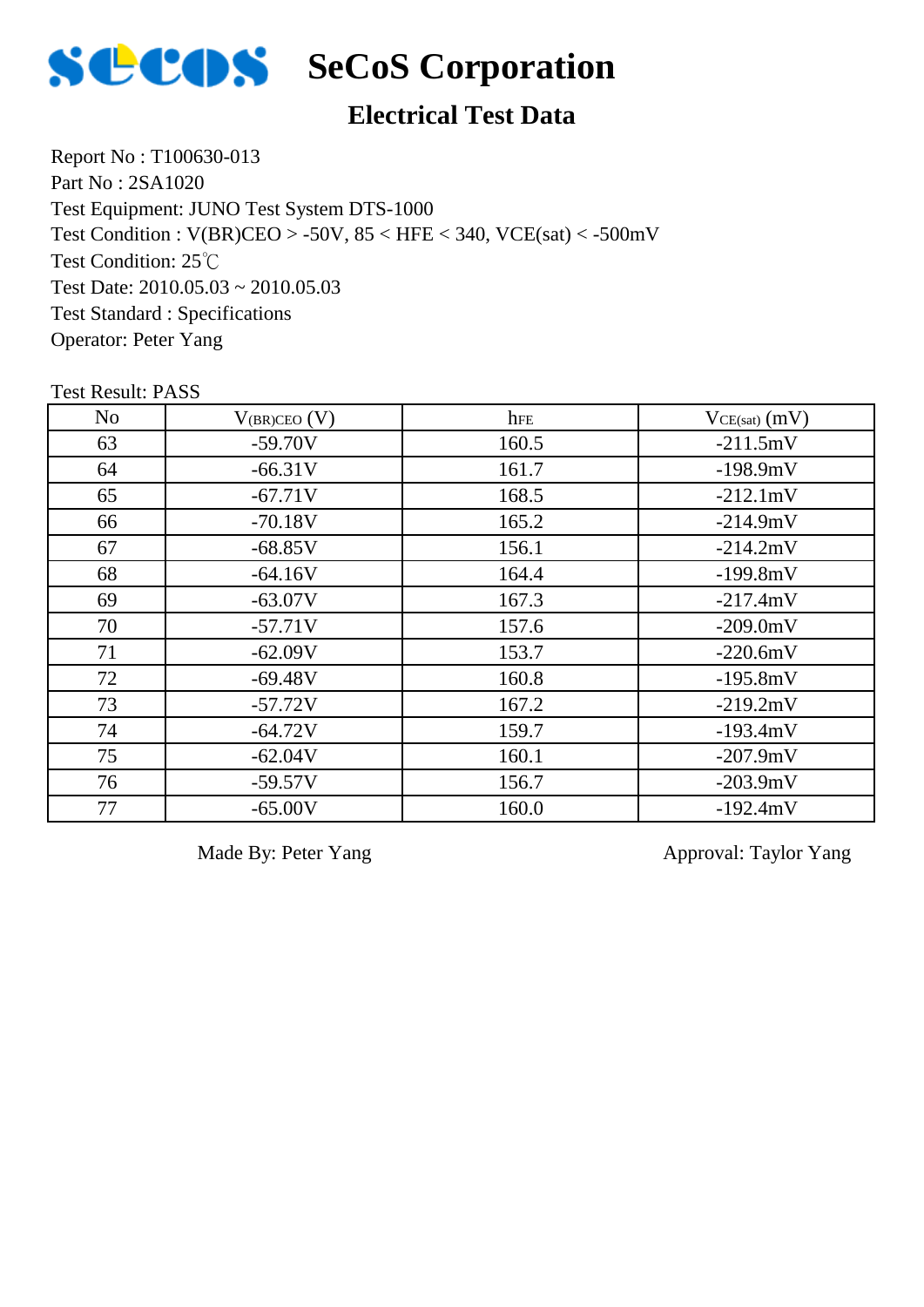

# **Electrical Test Data**

Report No : T100630-013 Part No : 2SA1020 Test Equipment: JUNO Test System DTS-1000 Test Condition: 25℃ Test Date:  $2010.05.03 \approx 2010.05.03$ Test Standard : Specifications Operator: Peter Yang Test Condition : V(BR)CEO > -50V, 85 < HFE < 340, VCE(sat) < -500mV

Test Result: PASS

| N <sub>o</sub> | $V_{(BR)CEO} (V)$ | hFE   | $VCE(sat)$ (mV) |
|----------------|-------------------|-------|-----------------|
| 63             | $-59.70V$         | 160.5 | $-211.5mV$      |
| 64             | $-66.31V$         | 161.7 | $-198.9mV$      |
| 65             | $-67.71V$         | 168.5 | $-212.1mV$      |
| 66             | $-70.18V$         | 165.2 | $-214.9mV$      |
| 67             | $-68.85V$         | 156.1 | $-214.2mV$      |
| 68             | $-64.16V$         | 164.4 | $-199.8mV$      |
| 69             | $-63.07V$         | 167.3 | $-217.4mV$      |
| 70             | $-57.71V$         | 157.6 | $-209.0mV$      |
| 71             | $-62.09V$         | 153.7 | $-220.6mV$      |
| 72             | $-69.48V$         | 160.8 | $-195.8mV$      |
| 73             | $-57.72V$         | 167.2 | $-219.2mV$      |
| 74             | $-64.72V$         | 159.7 | $-193.4mV$      |
| 75             | $-62.04V$         | 160.1 | $-207.9mV$      |
| 76             | $-59.57V$         | 156.7 | $-203.9mV$      |
| 77             | $-65.00V$         | 160.0 | $-192.4mV$      |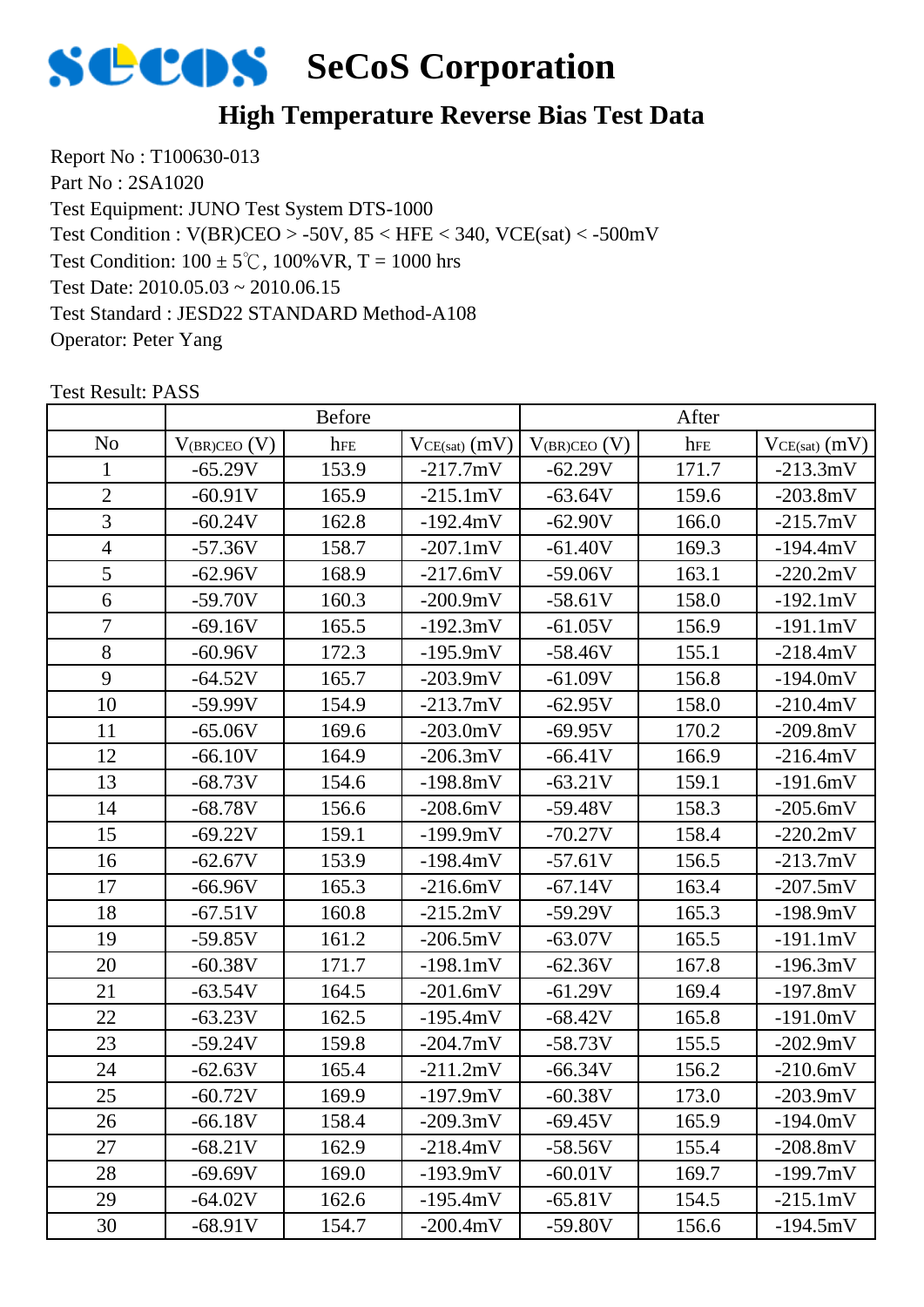

## **High Temperature Reverse Bias Test Data**

Report No : T100630-013 Part No : 2SA1020 Test Equipment: JUNO Test System DTS-1000 Test Condition:  $100 \pm 5^{\circ}$ C,  $100\%$  VR, T = 1000 hrs Test Date: 2010.05.03 ~ 2010.06.15 Test Standard : JESD22 STANDARD Method-A108 Operator: Peter Yang Test Condition : V(BR)CEO > -50V, 85 < HFE < 340, VCE(sat) < -500mV

|                |                   | <b>Before</b> |                   |                   | After |                   |
|----------------|-------------------|---------------|-------------------|-------------------|-------|-------------------|
| N <sub>o</sub> | $V_{(BR)CEO}$ (V) | hFE           | $VCE(sat)$ $(mV)$ | $V_{(BR)CEO} (V)$ | hFE   | $VCE(sat)$ $(mV)$ |
| 1              | $-65.29V$         | 153.9         | $-217.7mV$        | $-62.29V$         | 171.7 | $-213.3mV$        |
| $\sqrt{2}$     | $-60.91V$         | 165.9         | $-215.1mV$        | $-63.64V$         | 159.6 | $-203.8mV$        |
| 3              | $-60.24V$         | 162.8         | $-192.4mV$        | $-62.90V$         | 166.0 | $-215.7mV$        |
| $\overline{4}$ | $-57.36V$         | 158.7         | $-207.1mV$        | $-61.40V$         | 169.3 | $-194.4mV$        |
| 5              | $-62.96V$         | 168.9         | $-217.6mV$        | $-59.06V$         | 163.1 | $-220.2mV$        |
| 6              | $-59.70V$         | 160.3         | $-200.9mV$        | $-58.61V$         | 158.0 | $-192.1mV$        |
| 7              | $-69.16V$         | 165.5         | $-192.3mV$        | $-61.05V$         | 156.9 | $-191.1mV$        |
| 8              | $-60.96V$         | 172.3         | $-195.9mV$        | $-58.46V$         | 155.1 | $-218.4mV$        |
| 9              | $-64.52V$         | 165.7         | $-203.9mV$        | $-61.09V$         | 156.8 | $-194.0mV$        |
| 10             | $-59.99V$         | 154.9         | $-213.7mV$        | $-62.95V$         | 158.0 | $-210.4mV$        |
| 11             | $-65.06V$         | 169.6         | $-203.0mV$        | $-69.95V$         | 170.2 | $-209.8mV$        |
| 12             | $-66.10V$         | 164.9         | $-206.3mV$        | $-66.41V$         | 166.9 | $-216.4mV$        |
| 13             | $-68.73V$         | 154.6         | $-198.8mV$        | $-63.21V$         | 159.1 | $-191.6mV$        |
| 14             | $-68.78V$         | 156.6         | $-208.6mV$        | $-59.48V$         | 158.3 | $-205.6mV$        |
| 15             | $-69.22V$         | 159.1         | $-199.9mV$        | $-70.27V$         | 158.4 | $-220.2mV$        |
| 16             | $-62.67V$         | 153.9         | $-198.4mV$        | $-57.61V$         | 156.5 | $-213.7mV$        |
| 17             | $-66.96V$         | 165.3         | $-216.6mV$        | $-67.14V$         | 163.4 | $-207.5mV$        |
| 18             | $-67.51V$         | 160.8         | $-215.2mV$        | $-59.29V$         | 165.3 | $-198.9mV$        |
| 19             | $-59.85V$         | 161.2         | $-206.5mV$        | $-63.07V$         | 165.5 | $-191.1mV$        |
| 20             | $-60.38V$         | 171.7         | $-198.1mV$        | $-62.36V$         | 167.8 | $-196.3mV$        |
| 21             | $-63.54V$         | 164.5         | $-201.6mV$        | $-61.29V$         | 169.4 | $-197.8mV$        |
| 22             | $-63.23V$         | 162.5         | $-195.4mV$        | $-68.42V$         | 165.8 | $-191.0mV$        |
| 23             | $-59.24V$         | 159.8         | $-204.7mV$        | $-58.73V$         | 155.5 | $-202.9mV$        |
| 24             | $-62.63V$         | 165.4         | $-211.2mV$        | $-66.34V$         | 156.2 | $-210.6mV$        |
| 25             | $-60.72V$         | 169.9         | $-197.9mV$        | $-60.38V$         | 173.0 | $-203.9mV$        |
| 26             | $-66.18V$         | 158.4         | $-209.3mV$        | $-69.45V$         | 165.9 | $-194.0mV$        |
| 27             | $-68.21V$         | 162.9         | $-218.4mV$        | $-58.56V$         | 155.4 | $-208.8mV$        |
| 28             | $-69.69V$         | 169.0         | $-193.9mV$        | $-60.01V$         | 169.7 | $-199.7mV$        |
| 29             | $-64.02V$         | 162.6         | $-195.4mV$        | $-65.81V$         | 154.5 | $-215.1mV$        |
| 30             | $-68.91V$         | 154.7         | $-200.4mV$        | $-59.80V$         | 156.6 | $-194.5mV$        |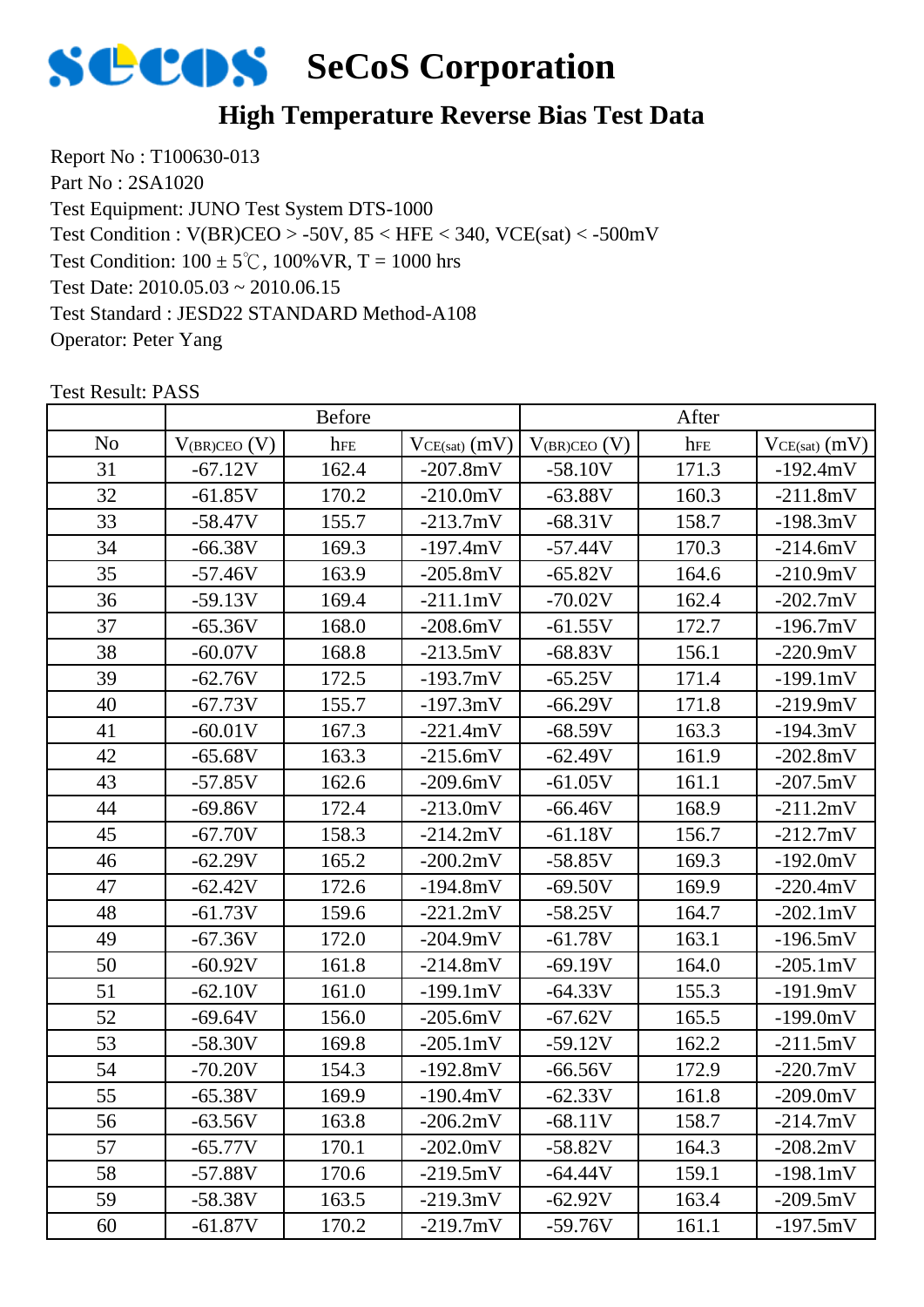

# **High Temperature Reverse Bias Test Data**

Report No : T100630-013 Part No : 2SA1020 Test Equipment: JUNO Test System DTS-1000 Test Condition:  $100 \pm 5^{\circ}$ C,  $100\%$  VR, T = 1000 hrs Test Date: 2010.05.03 ~ 2010.06.15 Test Standard : JESD22 STANDARD Method-A108 Operator: Peter Yang Test Condition : V(BR)CEO > -50V, 85 < HFE < 340, VCE(sat) < -500mV

|                |                   | <b>Before</b> |                    |                     | After |                    |
|----------------|-------------------|---------------|--------------------|---------------------|-------|--------------------|
| N <sub>o</sub> | $V_{(BR)CEO}$ (V) | hFE           | $VCE(sat)$ (mV)    | $V_{(BR)CEO}$ $(V)$ | hFE   | $VCE(sat)$ $(mV)$  |
| 31             | $-67.12V$         | 162.4         | $-207.8mV$         | $-58.10V$           | 171.3 | $-192.4mV$         |
| 32             | $-61.85V$         | 170.2         | $-210.0mV$         | $-63.88V$           | 160.3 | $-211.8mV$         |
| 33             | $-58.47V$         | 155.7         | $-213.7mV$         | $-68.31V$           | 158.7 | $-198.3mV$         |
| 34             | $-66.38V$         | 169.3         | $-197.4mV$         | $-57.44V$           | 170.3 | $-214.6mV$         |
| 35             | $-57.46V$         | 163.9         | $-205.8mV$         | $-65.82V$           | 164.6 | $-210.9mV$         |
| 36             | $-59.13V$         | 169.4         | $-211.1mV$         | $-70.02V$           | 162.4 | $-202.7$ mV        |
| 37             | $-65.36V$         | 168.0         | $-208.6mV$         | $-61.55V$           | 172.7 | $-196.7mV$         |
| 38             | $-60.07V$         | 168.8         | $-213.5mV$         | $-68.83V$           | 156.1 | $-220.9mV$         |
| 39             | $-62.76V$         | 172.5         | $-193.7mV$         | $-65.25V$           | 171.4 | $-199.1mV$         |
| 40             | $-67.73V$         | 155.7         | $-197.3mV$         | $-66.29V$           | 171.8 | $-219.9mV$         |
| 41             | $-60.01V$         | 167.3         | $-221.4mV$         | $-68.59V$           | 163.3 | $-194.3mV$         |
| 42             | $-65.68V$         | 163.3         | $-215.6mV$         | $-62.49V$           | 161.9 | $-202.8mV$         |
| 43             | $-57.85V$         | 162.6         | $-209.6mV$         | $-61.05V$           | 161.1 | $-207.5mV$         |
| 44             | $-69.86V$         | 172.4         | $-213.0mV$         | $-66.46V$           | 168.9 | $-211.2mV$         |
| 45             | $-67.70V$         | 158.3         | $-214.2mV$         | $-61.18V$           | 156.7 | $-212.7mV$         |
| 46             | $-62.29V$         | 165.2         | $-200.2mV$         | $-58.85V$           | 169.3 | $-192.0mV$         |
| 47             | $-62.42V$         | 172.6         | $-194.8mV$         | $-69.50V$           | 169.9 | $-220.4mV$         |
| 48             | $-61.73V$         | 159.6         | $-221.2mV$         | $-58.25V$           | 164.7 | $-202.1 \text{mV}$ |
| 49             | $-67.36V$         | 172.0         | $-204.9mV$         | $-61.78V$           | 163.1 | $-196.5mV$         |
| 50             | $-60.92V$         | 161.8         | $-214.8mV$         | $-69.19V$           | 164.0 | $-205.1 \text{mV}$ |
| 51             | $-62.10V$         | 161.0         | $-199.1mV$         | $-64.33V$           | 155.3 | $-191.9mV$         |
| 52             | $-69.64V$         | 156.0         | $-205.6mV$         | $-67.62V$           | 165.5 | $-199.0mV$         |
| 53             | $-58.30V$         | 169.8         | $-205.1 \text{mV}$ | $-59.12V$           | 162.2 | $-211.5mV$         |
| 54             | $-70.20V$         | 154.3         | $-192.8mV$         | $-66.56V$           | 172.9 | $-220.7mV$         |
| 55             | $-65.38V$         | 169.9         | $-190.4mV$         | $-62.33V$           | 161.8 | $-209.0mV$         |
| 56             | $-63.56V$         | 163.8         | $-206.2mV$         | $-68.11V$           | 158.7 | $-214.7mV$         |
| 57             | $-65.77V$         | 170.1         | $-202.0mV$         | $-58.82V$           | 164.3 | $-208.2mV$         |
| 58             | $-57.88V$         | 170.6         | $-219.5mV$         | $-64.44V$           | 159.1 | $-198.1mV$         |
| 59             | $-58.38V$         | 163.5         | $-219.3mV$         | $-62.92V$           | 163.4 | $-209.5mV$         |
| 60             | $-61.87V$         | 170.2         | $-219.7mV$         | $-59.76V$           | 161.1 | $-197.5mV$         |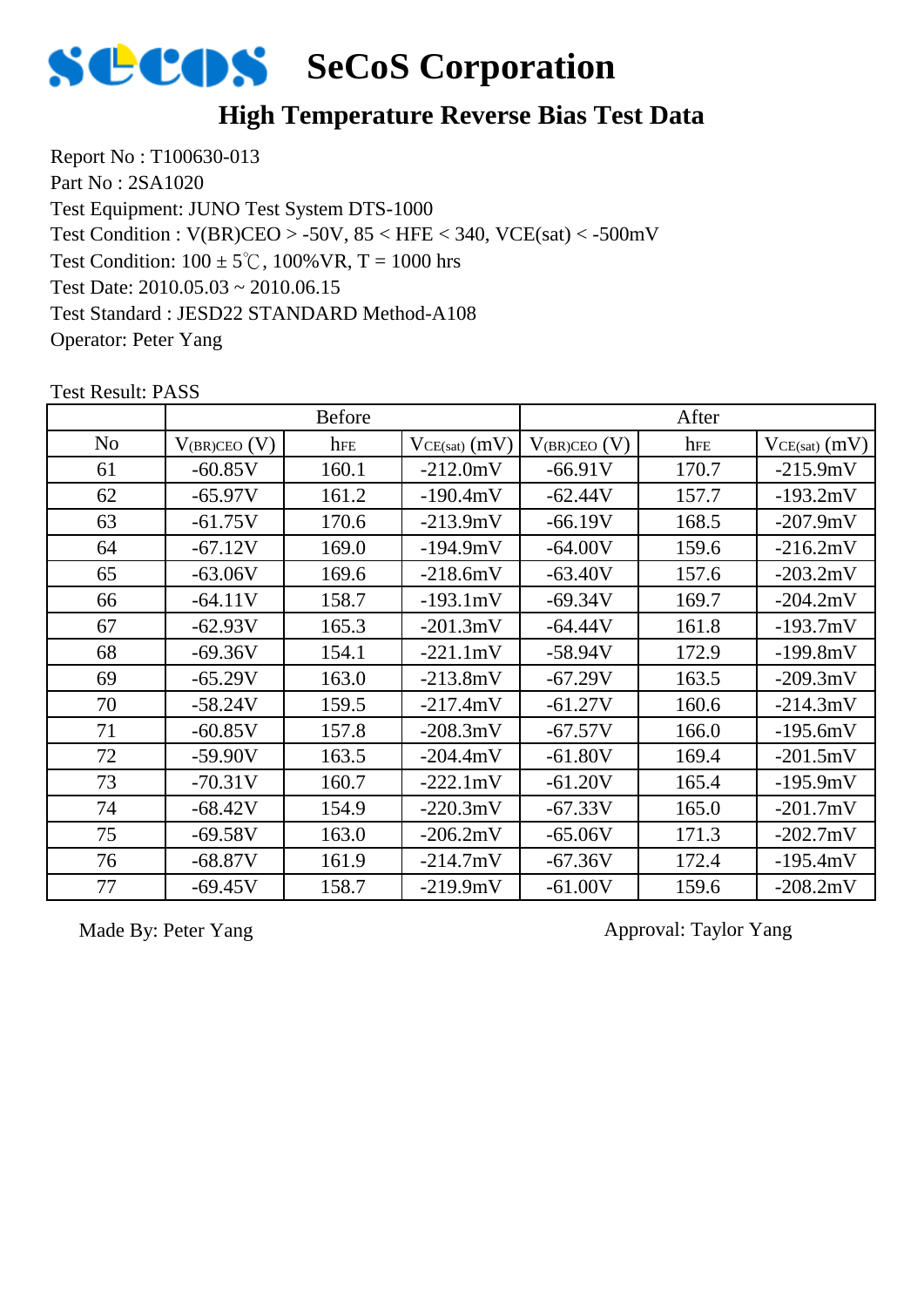

#### **High Temperature Reverse Bias Test Data**

Report No : T100630-013 Part No : 2SA1020 Test Equipment: JUNO Test System DTS-1000 Test Condition:  $100 \pm 5^{\circ}$ C,  $100\%$  VR, T = 1000 hrs Test Date: 2010.05.03 ~ 2010.06.15 Test Standard : JESD22 STANDARD Method-A108 Operator: Peter Yang Test Condition : V(BR)CEO > -50V, 85 < HFE < 340, VCE(sat) < -500mV

No  $\left| V_{(BR)CEO\ (V)} \right|$  hFE  $\left| V_{CE(sat)}(mV) \right| V_{(BR)CEO\ (V)} \right|$  hFE  $\left| V_{CE(sat)}(mV) \right|$ Before After 61 | -60.85V | 160.1 | -212.0mV | -66.91V | 170.7 | -215.9mV 62 | -65.97V | 161.2 | -190.4mV | -62.44V | 157.7 | -193.2mV 63 | -61.75V | 170.6 | -213.9mV | -66.19V | 168.5 | -207.9mV 64 -67.12V 169.0 -194.9mV -64.00V 159.6 -216.2mV 65 | -63.06V | 169.6 | -218.6mV | -63.40V | 157.6 | -203.2mV 66 | -64.11V | 158.7 | -193.1mV | -69.34V | 169.7 | -204.2mV 67 | -62.93V | 165.3 | -201.3mV | -64.44V | 161.8 | -193.7mV 68 | -69.36V | 154.1 | -221.1mV | -58.94V | 172.9 | -199.8mV 69 | -65.29V | 163.0 | -213.8mV | -67.29V | 163.5 | -209.3mV 70 | -58.24V | 159.5 | -217.4mV | -61.27V | 160.6 | -214.3mV 71 | -60.85V | 157.8 | -208.3mV | -67.57V | 166.0 | -195.6mV 72 | -59.90V | 163.5 | -204.4mV | -61.80V | 169.4 | -201.5mV 73 | -70.31V | 160.7 | -222.1mV | -61.20V | 165.4 | -195.9mV 74 -68.42V 154.9 -220.3mV -67.33V 165.0 -201.7mV 75 | -69.58V | 163.0 | -206.2mV | -65.06V | 171.3 | -202.7mV 76 | -68.87V | 161.9 | -214.7mV | -67.36V | 172.4 | -195.4mV 77 | -69.45V | 158.7 | -219.9mV | -61.00V | 159.6 | -208.2mV

Test Result: PASS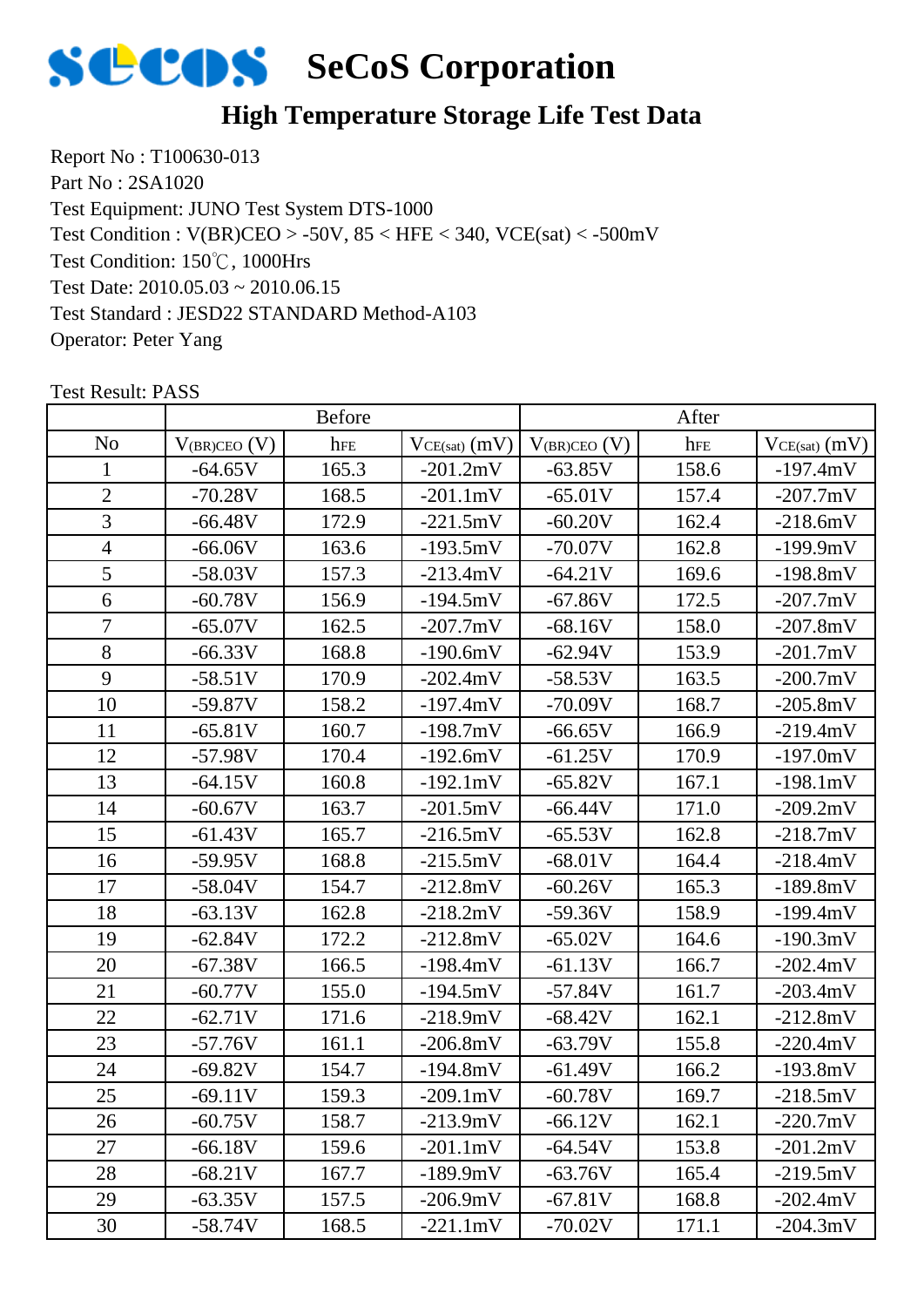

# **High Temperature Storage Life Test Data**

Report No : T100630-013 Part No : 2SA1020 Test Equipment: JUNO Test System DTS-1000 Test Condition: 150℃, 1000Hrs Test Date: 2010.05.03 ~ 2010.06.15 Test Standard : JESD22 STANDARD Method-A103 Operator: Peter Yang Test Condition : V(BR)CEO > -50V, 85 < HFE < 340, VCE(sat) < -500mV

|                |                   | Before |                    |                     | After |                   |
|----------------|-------------------|--------|--------------------|---------------------|-------|-------------------|
| N <sub>o</sub> | $V_{(BR)CEO}$ (V) | hFE    | $VCE(sat)$ $(mV)$  | $V_{(BR)CEO}$ $(V)$ | hFE   | $VCE(sat)$ $(mV)$ |
| $\mathbf{1}$   | $-64.65V$         | 165.3  | $-201.2mV$         | $-63.85V$           | 158.6 | $-197.4mV$        |
| $\overline{2}$ | $-70.28V$         | 168.5  | $-201.1mV$         | $-65.01V$           | 157.4 | $-207.7mV$        |
| $\overline{3}$ | $-66.48V$         | 172.9  | $-221.5mV$         | $-60.20V$           | 162.4 | $-218.6mV$        |
| $\overline{4}$ | $-66.06V$         | 163.6  | $-193.5mV$         | $-70.07V$           | 162.8 | $-199.9mV$        |
| 5              | $-58.03V$         | 157.3  | $-213.4mV$         | $-64.21V$           | 169.6 | $-198.8mV$        |
| 6              | $-60.78V$         | 156.9  | $-194.5mV$         | $-67.86V$           | 172.5 | $-207.7mV$        |
| $\overline{7}$ | $-65.07V$         | 162.5  | $-207.7mV$         | $-68.16V$           | 158.0 | $-207.8mV$        |
| 8              | $-66.33V$         | 168.8  | $-190.6mV$         | $-62.94V$           | 153.9 | $-201.7mV$        |
| 9              | $-58.51V$         | 170.9  | $-202.4mV$         | $-58.53V$           | 163.5 | $-200.7mV$        |
| 10             | $-59.87V$         | 158.2  | $-197.4mV$         | $-70.09V$           | 168.7 | $-205.8mV$        |
| 11             | $-65.81V$         | 160.7  | $-198.7mV$         | $-66.65V$           | 166.9 | $-219.4mV$        |
| 12             | $-57.98V$         | 170.4  | $-192.6mV$         | $-61.25V$           | 170.9 | $-197.0mV$        |
| 13             | $-64.15V$         | 160.8  | $-192.1mV$         | $-65.82V$           | 167.1 | $-198.1mV$        |
| 14             | $-60.67V$         | 163.7  | $-201.5mV$         | $-66.44V$           | 171.0 | $-209.2mV$        |
| 15             | $-61.43V$         | 165.7  | $-216.5mV$         | $-65.53V$           | 162.8 | $-218.7mV$        |
| 16             | $-59.95V$         | 168.8  | $-215.5mV$         | $-68.01V$           | 164.4 | $-218.4mV$        |
| 17             | $-58.04V$         | 154.7  | $-212.8mV$         | $-60.26V$           | 165.3 | $-189.8mV$        |
| 18             | $-63.13V$         | 162.8  | $-218.2mV$         | $-59.36V$           | 158.9 | $-199.4mV$        |
| 19             | $-62.84V$         | 172.2  | $-212.8mV$         | $-65.02V$           | 164.6 | $-190.3mV$        |
| 20             | $-67.38V$         | 166.5  | $-198.4mV$         | $-61.13V$           | 166.7 | $-202.4mV$        |
| 21             | $-60.77V$         | 155.0  | $-194.5mV$         | $-57.84V$           | 161.7 | $-203.4mV$        |
| 22             | $-62.71V$         | 171.6  | $-218.9mV$         | $-68.42V$           | 162.1 | $-212.8mV$        |
| 23             | $-57.76V$         | 161.1  | $-206.8mV$         | $-63.79V$           | 155.8 | $-220.4mV$        |
| 24             | $-69.82V$         | 154.7  | $-194.8mV$         | $-61.49V$           | 166.2 | $-193.8mV$        |
| 25             | $-69.11V$         | 159.3  | $-209.1 \text{mV}$ | $-60.78V$           | 169.7 | $-218.5mV$        |
| 26             | $-60.75V$         | 158.7  | $-213.9mV$         | $-66.12V$           | 162.1 | $-220.7mV$        |
| 27             | $-66.18V$         | 159.6  | $-201.1mV$         | $-64.54V$           | 153.8 | $-201.2mV$        |
| 28             | $-68.21V$         | 167.7  | $-189.9mV$         | $-63.76V$           | 165.4 | $-219.5mV$        |
| 29             | $-63.35V$         | 157.5  | $-206.9mV$         | $-67.81V$           | 168.8 | $-202.4mV$        |
| 30             | $-58.74V$         | 168.5  | $-221.1mV$         | $-70.02V$           | 171.1 | $-204.3mV$        |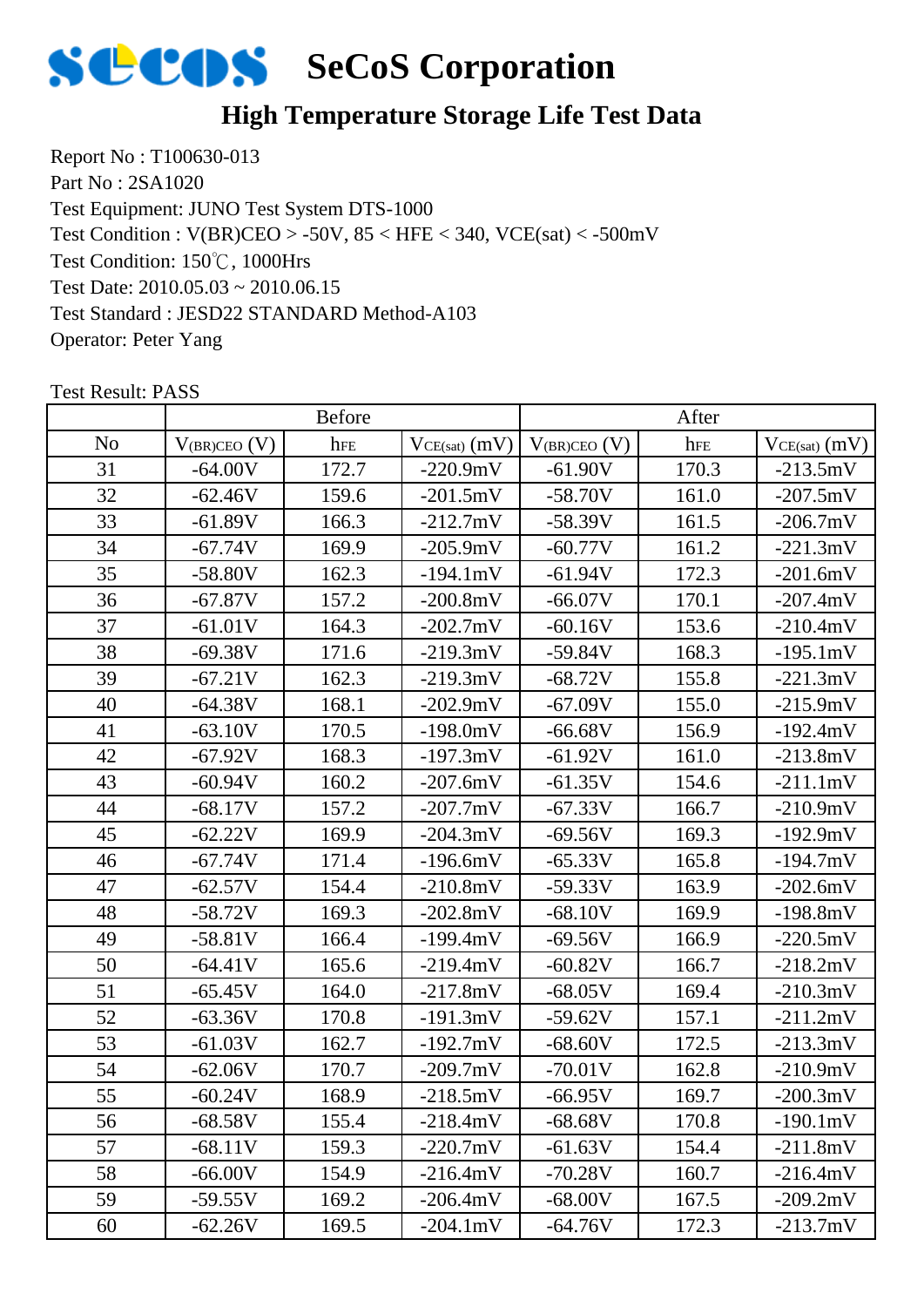

# **High Temperature Storage Life Test Data**

Report No : T100630-013 Part No : 2SA1020 Test Equipment: JUNO Test System DTS-1000 Test Condition: 150℃, 1000Hrs Test Date: 2010.05.03 ~ 2010.06.15 Test Standard : JESD22 STANDARD Method-A103 Operator: Peter Yang Test Condition : V(BR)CEO > -50V, 85 < HFE < 340, VCE(sat) < -500mV

|                |                   | <b>Before</b> |                    |                     | After |                   |
|----------------|-------------------|---------------|--------------------|---------------------|-------|-------------------|
| N <sub>o</sub> | $V_{(BR)CEO}$ (V) | hFE           | $VCE(sat)$ (mV)    | $V_{(BR)CEO}$ $(V)$ | hFE   | $VCE(sat)$ $(mV)$ |
| 31             | $-64.00V$         | 172.7         | $-220.9mV$         | $-61.90V$           | 170.3 | $-213.5mV$        |
| 32             | $-62.46V$         | 159.6         | $-201.5mV$         | $-58.70V$           | 161.0 | $-207.5mV$        |
| 33             | $-61.89V$         | 166.3         | $-212.7mV$         | $-58.39V$           | 161.5 | $-206.7mV$        |
| 34             | $-67.74V$         | 169.9         | $-205.9mV$         | $-60.77V$           | 161.2 | $-221.3mV$        |
| 35             | $-58.80V$         | 162.3         | $-194.1mV$         | $-61.94V$           | 172.3 | $-201.6mV$        |
| 36             | $-67.87V$         | 157.2         | $-200.8mV$         | $-66.07V$           | 170.1 | $-207.4mV$        |
| 37             | $-61.01V$         | 164.3         | $-202.7mV$         | $-60.16V$           | 153.6 | $-210.4mV$        |
| 38             | $-69.38V$         | 171.6         | $-219.3mV$         | $-59.84V$           | 168.3 | $-195.1mV$        |
| 39             | $-67.21V$         | 162.3         | $-219.3mV$         | $-68.72V$           | 155.8 | $-221.3mV$        |
| 40             | $-64.38V$         | 168.1         | $-202.9mV$         | $-67.09V$           | 155.0 | $-215.9mV$        |
| 41             | $-63.10V$         | 170.5         | $-198.0mV$         | $-66.68V$           | 156.9 | $-192.4mV$        |
| 42             | $-67.92V$         | 168.3         | $-197.3mV$         | $-61.92V$           | 161.0 | $-213.8mV$        |
| 43             | $-60.94V$         | 160.2         | $-207.6mV$         | $-61.35V$           | 154.6 | $-211.1mV$        |
| 44             | $-68.17V$         | 157.2         | $-207.7mV$         | $-67.33V$           | 166.7 | $-210.9mV$        |
| 45             | $-62.22V$         | 169.9         | $-204.3mV$         | $-69.56V$           | 169.3 | $-192.9mV$        |
| 46             | $-67.74V$         | 171.4         | $-196.6mV$         | $-65.33V$           | 165.8 | $-194.7mV$        |
| 47             | $-62.57V$         | 154.4         | $-210.8mV$         | $-59.33V$           | 163.9 | $-202.6mV$        |
| 48             | $-58.72V$         | 169.3         | $-202.8mV$         | $-68.10V$           | 169.9 | $-198.8mV$        |
| 49             | $-58.81V$         | 166.4         | $-199.4mV$         | $-69.56V$           | 166.9 | $-220.5mV$        |
| 50             | $-64.41V$         | 165.6         | $-219.4mV$         | $-60.82V$           | 166.7 | $-218.2mV$        |
| 51             | $-65.45V$         | 164.0         | $-217.8mV$         | $-68.05V$           | 169.4 | $-210.3mV$        |
| 52             | $-63.36V$         | 170.8         | $-191.3mV$         | $-59.62V$           | 157.1 | $-211.2mV$        |
| 53             | $-61.03V$         | 162.7         | $-192.7mV$         | $-68.60V$           | 172.5 | $-213.3mV$        |
| 54             | $-62.06V$         | 170.7         | $-209.7mV$         | $-70.01V$           | 162.8 | $-210.9mV$        |
| 55             | $-60.24V$         | 168.9         | $-218.5mV$         | $-66.95V$           | 169.7 | $-200.3mV$        |
| 56             | $-68.58V$         | 155.4         | $-218.4mV$         | $-68.68V$           | 170.8 | $-190.1mV$        |
| 57             | $-68.11V$         | 159.3         | $-220.7mV$         | $-61.63V$           | 154.4 | $-211.8mV$        |
| 58             | $-66.00V$         | 154.9         | $-216.4mV$         | $-70.28V$           | 160.7 | $-216.4mV$        |
| 59             | $-59.55V$         | 169.2         | $-206.4mV$         | $-68.00V$           | 167.5 | $-209.2mV$        |
| 60             | $-62.26V$         | 169.5         | $-204.1 \text{mV}$ | $-64.76V$           | 172.3 | $-213.7mV$        |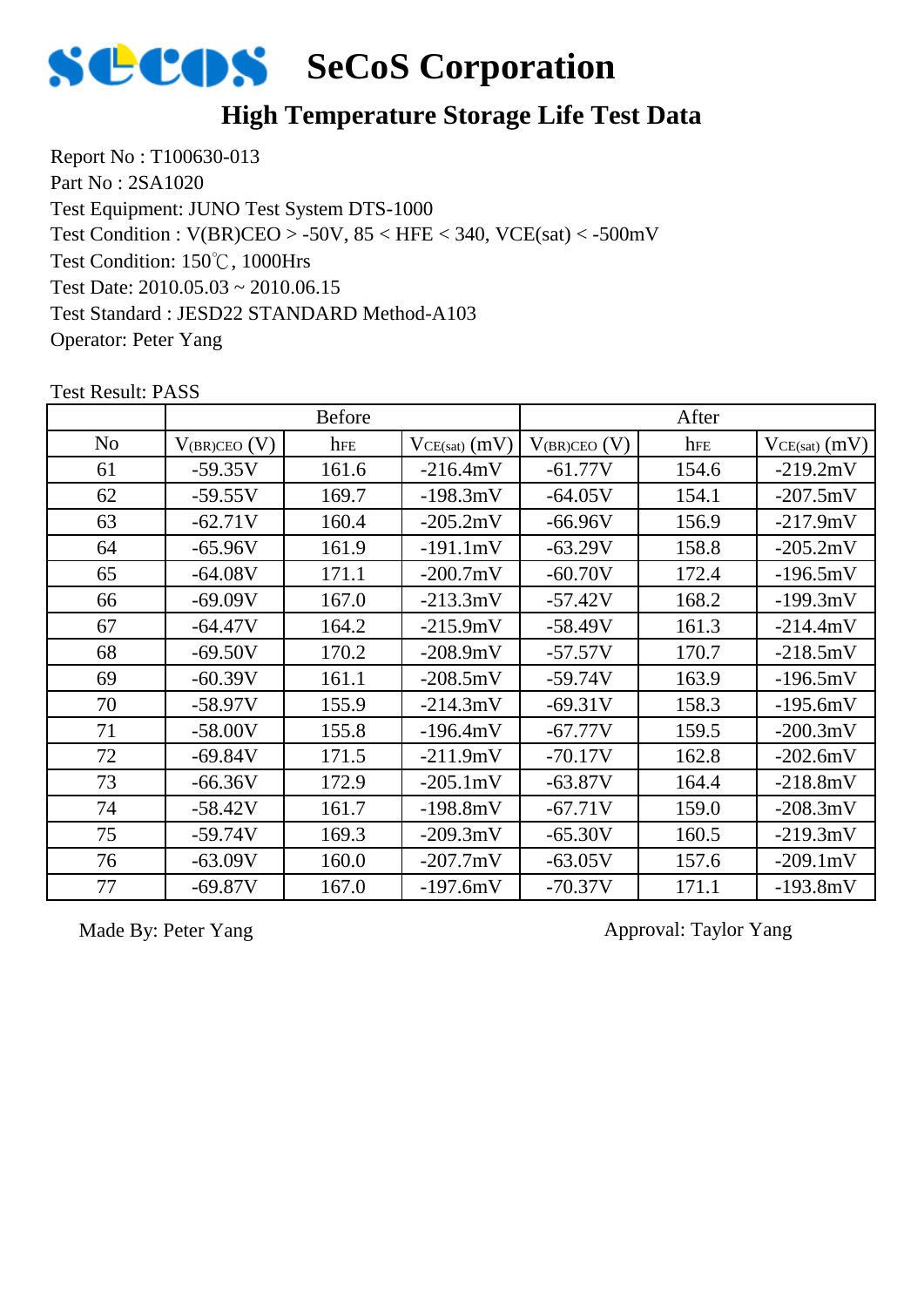

# **High Temperature Storage Life Test Data**

Report No : T100630-013 Part No : 2SA1020 Test Equipment: JUNO Test System DTS-1000 Test Condition: 150℃, 1000Hrs Test Date: 2010.05.03 ~ 2010.06.15 Test Standard : JESD22 STANDARD Method-A103 Operator: Peter Yang Test Condition : V(BR)CEO > -50V, 85 < HFE < 340, VCE(sat) < -500mV

|    |                   | <b>Before</b> |                   |                   | After |                   |
|----|-------------------|---------------|-------------------|-------------------|-------|-------------------|
| No | $V_{(BR)CEO} (V)$ | hFE           | $VCE(sat)$ $(mV)$ | $V_{(BR)CEO} (V)$ | hFE   | $VCE(sat)$ $(mV)$ |
| 61 | $-59.35V$         | 161.6         | $-216.4mV$        | $-61.77V$         | 154.6 | $-219.2mV$        |
| 62 | $-59.55V$         | 169.7         | $-198.3mV$        | $-64.05V$         | 154.1 | $-207.5mV$        |
| 63 | $-62.71V$         | 160.4         | $-205.2mV$        | $-66.96V$         | 156.9 | $-217.9mV$        |
| 64 | $-65.96V$         | 161.9         | $-191.1mV$        | $-63.29V$         | 158.8 | $-205.2mV$        |
| 65 | $-64.08V$         | 171.1         | $-200.7mV$        | $-60.70V$         | 172.4 | $-196.5mV$        |
| 66 | $-69.09V$         | 167.0         | $-213.3mV$        | $-57.42V$         | 168.2 | $-199.3mV$        |
| 67 | $-64.47V$         | 164.2         | $-215.9mV$        | $-58.49V$         | 161.3 | $-214.4mV$        |
| 68 | $-69.50V$         | 170.2         | $-208.9mV$        | $-57.57V$         | 170.7 | $-218.5mV$        |
| 69 | $-60.39V$         | 161.1         | $-208.5mV$        | $-59.74V$         | 163.9 | $-196.5mV$        |
| 70 | $-58.97V$         | 155.9         | $-214.3mV$        | $-69.31V$         | 158.3 | $-195.6mV$        |
| 71 | $-58.00V$         | 155.8         | $-196.4mV$        | $-67.77V$         | 159.5 | $-200.3mV$        |
| 72 | $-69.84V$         | 171.5         | $-211.9mV$        | $-70.17V$         | 162.8 | $-202.6mV$        |
| 73 | $-66.36V$         | 172.9         | $-205.1mV$        | $-63.87V$         | 164.4 | $-218.8mV$        |
| 74 | $-58.42V$         | 161.7         | $-198.8mV$        | $-67.71V$         | 159.0 | $-208.3mV$        |
| 75 | $-59.74V$         | 169.3         | $-209.3mV$        | $-65.30V$         | 160.5 | $-219.3mV$        |
| 76 | $-63.09V$         | 160.0         | $-207.7mV$        | $-63.05V$         | 157.6 | $-209.1mV$        |
| 77 | $-69.87V$         | 167.0         | $-197.6mV$        | $-70.37V$         | 171.1 | $-193.8mV$        |

Test Result: PASS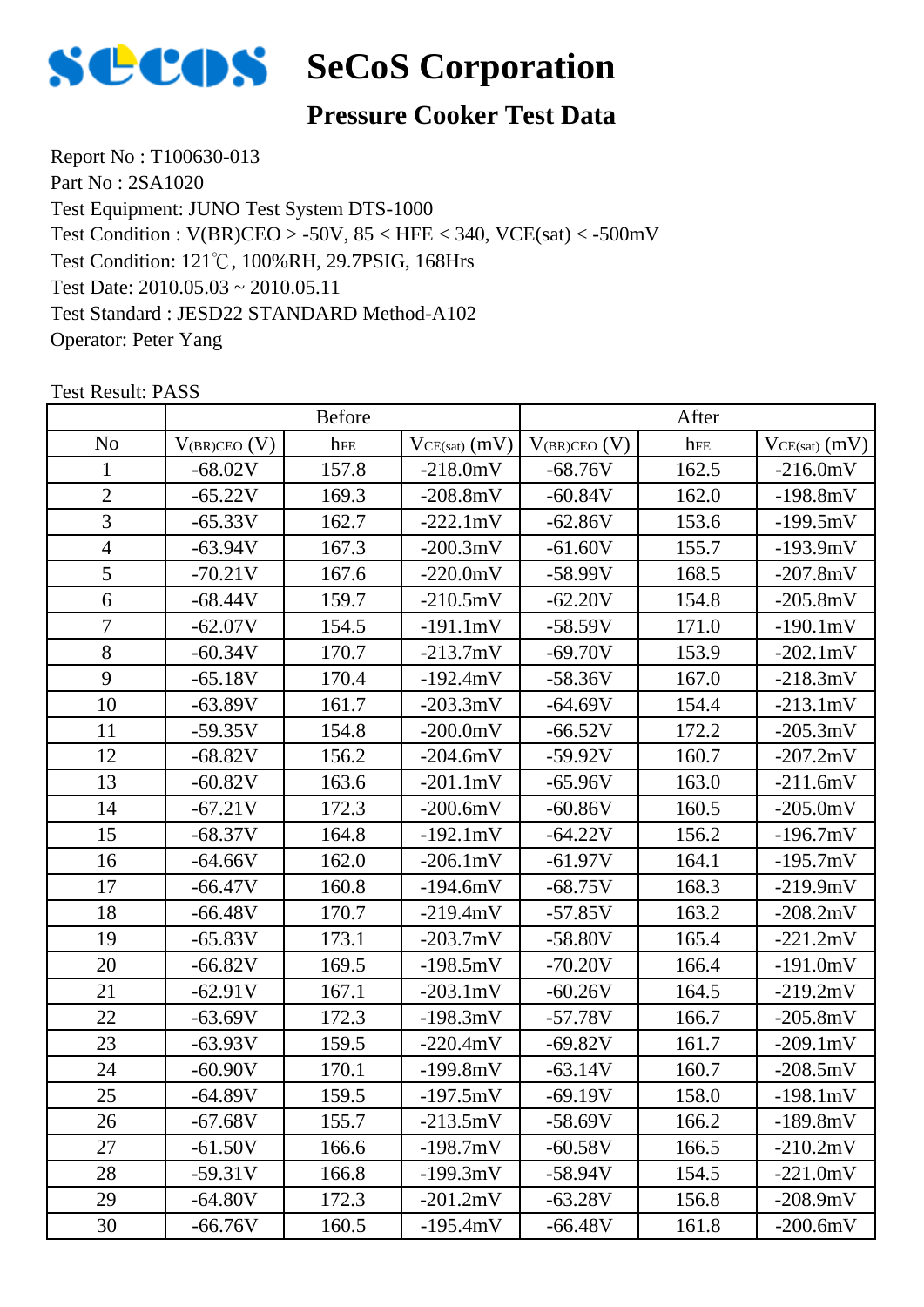

#### **Pressure Cooker Test Data**

Report No : T100630-013 Part No : 2SA1020 Test Equipment: JUNO Test System DTS-1000 Test Condition: 121℃, 100%RH, 29.7PSIG, 168Hrs Test Date: 2010.05.03 ~ 2010.05.11 Test Standard : JESD22 STANDARD Method-A102 Operator: Peter Yang Test Condition : V(BR)CEO > -50V, 85 < HFE < 340, VCE(sat) < -500mV

|                |                   | <b>Before</b> |                    |                     | After |                    |
|----------------|-------------------|---------------|--------------------|---------------------|-------|--------------------|
| N <sub>o</sub> | $V_{(BR)CEO}$ (V) | hFE           | $VCE(sat)$ $(mV)$  | $V_{(BR)CEO}$ $(V)$ | hFE   | $VCE(sat)$ $(mV)$  |
| $\mathbf{1}$   | $-68.02V$         | 157.8         | $-218.0mV$         | $-68.76V$           | 162.5 | $-216.0mV$         |
| $\overline{2}$ | $-65.22V$         | 169.3         | $-208.8mV$         | $-60.84V$           | 162.0 | $-198.8mV$         |
| $\overline{3}$ | $-65.33V$         | 162.7         | $-222.1mV$         | $-62.86V$           | 153.6 | $-199.5mV$         |
| $\overline{4}$ | $-63.94V$         | 167.3         | $-200.3mV$         | $-61.60V$           | 155.7 | $-193.9mV$         |
| 5              | $-70.21V$         | 167.6         | $-220.0mV$         | $-58.99V$           | 168.5 | $-207.8mV$         |
| 6              | $-68.44V$         | 159.7         | $-210.5mV$         | $-62.20V$           | 154.8 | $-205.8mV$         |
| $\overline{7}$ | $-62.07V$         | 154.5         | $-191.1mV$         | $-58.59V$           | 171.0 | $-190.1mV$         |
| 8              | $-60.34V$         | 170.7         | $-213.7mV$         | $-69.70V$           | 153.9 | $-202.1 \text{mV}$ |
| 9              | $-65.18V$         | 170.4         | $-192.4mV$         | $-58.36V$           | 167.0 | $-218.3mV$         |
| 10             | $-63.89V$         | 161.7         | $-203.3mV$         | $-64.69V$           | 154.4 | $-213.1mV$         |
| 11             | $-59.35V$         | 154.8         | $-200.0mV$         | $-66.52V$           | 172.2 | $-205.3mV$         |
| 12             | $-68.82V$         | 156.2         | $-204.6mV$         | $-59.92V$           | 160.7 | $-207.2mV$         |
| 13             | $-60.82V$         | 163.6         | $-201.1mV$         | $-65.96V$           | 163.0 | $-211.6mV$         |
| 14             | $-67.21V$         | 172.3         | $-200.6mV$         | $-60.86V$           | 160.5 | $-205.0mV$         |
| 15             | $-68.37V$         | 164.8         | $-192.1mV$         | $-64.22V$           | 156.2 | $-196.7mV$         |
| 16             | $-64.66V$         | 162.0         | $-206.1mV$         | $-61.97V$           | 164.1 | $-195.7mV$         |
| 17             | $-66.47V$         | 160.8         | $-194.6mV$         | $-68.75V$           | 168.3 | $-219.9mV$         |
| 18             | $-66.48V$         | 170.7         | $-219.4mV$         | $-57.85V$           | 163.2 | $-208.2mV$         |
| 19             | $-65.83V$         | 173.1         | $-203.7mV$         | $-58.80V$           | 165.4 | $-221.2mV$         |
| 20             | $-66.82V$         | 169.5         | $-198.5mV$         | $-70.20V$           | 166.4 | $-191.0mV$         |
| 21             | $-62.91V$         | 167.1         | $-203.1 \text{mV}$ | $-60.26V$           | 164.5 | $-219.2mV$         |
| 22             | $-63.69V$         | 172.3         | $-198.3mV$         | $-57.78V$           | 166.7 | $-205.8mV$         |
| 23             | $-63.93V$         | 159.5         | $-220.4mV$         | $-69.82V$           | 161.7 | $-209.1mV$         |
| 24             | $-60.90V$         | 170.1         | $-199.8mV$         | $-63.14V$           | 160.7 | $-208.5mV$         |
| 25             | $-64.89V$         | 159.5         | $-197.5mV$         | $-69.19V$           | 158.0 | $-198.1mV$         |
| 26             | $-67.68V$         | 155.7         | $-213.5mV$         | $-58.69V$           | 166.2 | $-189.8mV$         |
| 27             | $-61.50V$         | 166.6         | $-198.7mV$         | $-60.58V$           | 166.5 | $-210.2mV$         |
| 28             | $-59.31V$         | 166.8         | $-199.3mV$         | $-58.94V$           | 154.5 | $-221.0mV$         |
| 29             | $-64.80V$         | 172.3         | $-201.2mV$         | $-63.28V$           | 156.8 | $-208.9mV$         |
| 30             | $-66.76V$         | 160.5         | $-195.4mV$         | $-66.48V$           | 161.8 | $-200.6mV$         |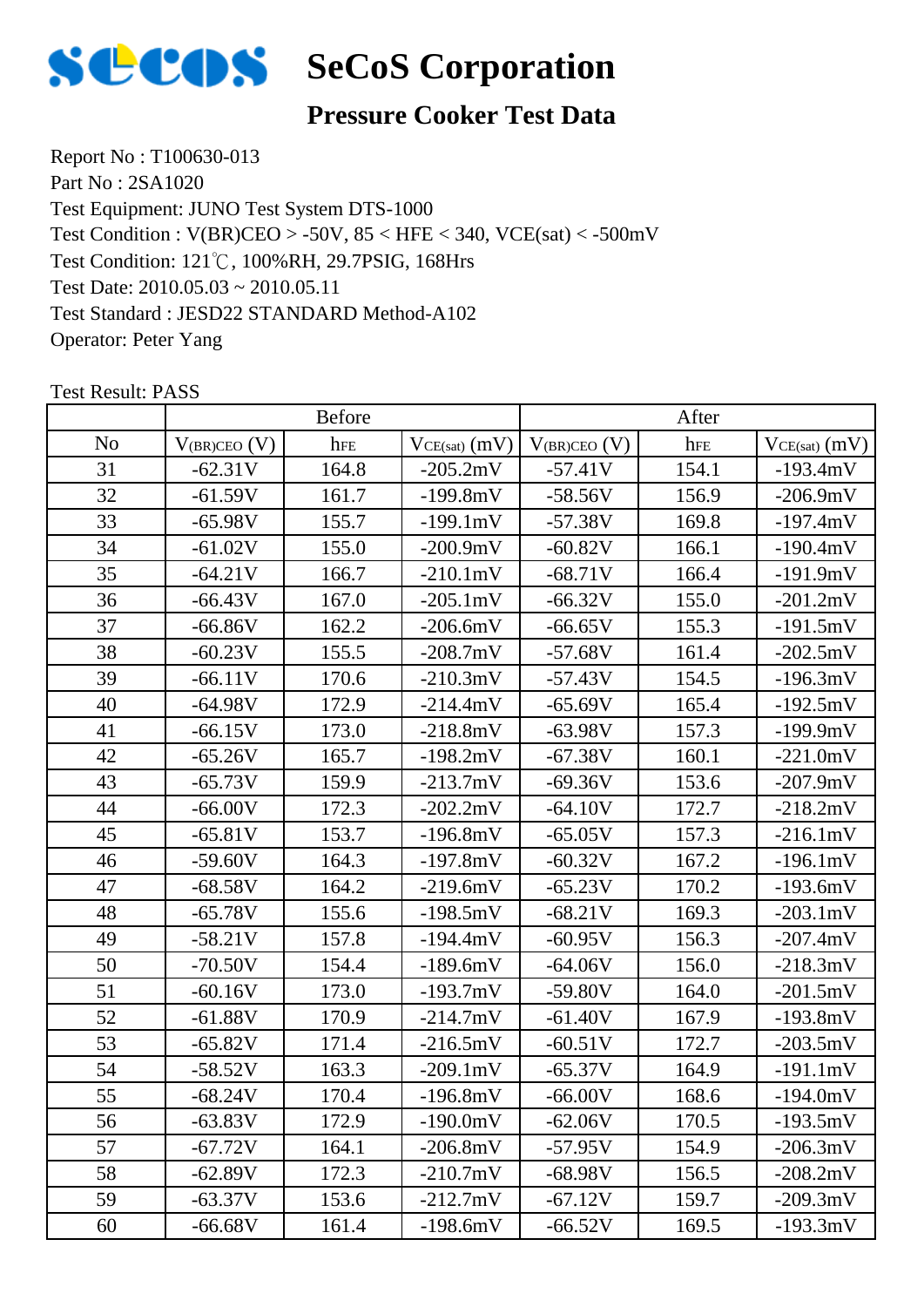

### **Pressure Cooker Test Data**

Report No : T100630-013 Part No : 2SA1020 Test Equipment: JUNO Test System DTS-1000 Test Condition: 121℃, 100%RH, 29.7PSIG, 168Hrs Test Date: 2010.05.03 ~ 2010.05.11 Test Standard : JESD22 STANDARD Method-A102 Operator: Peter Yang Test Condition : V(BR)CEO > -50V, 85 < HFE < 340, VCE(sat) < -500mV

|                |                   | <b>Before</b> |                 |                     | After |                    |
|----------------|-------------------|---------------|-----------------|---------------------|-------|--------------------|
| N <sub>0</sub> | $V_{(BR)CEO}$ (V) | hFE           | $VCE(sat)$ (mV) | $V_{(BR)CEO}$ $(V)$ | hFE   | $VCE(sat)$ $(mV)$  |
| 31             | $-62.31V$         | 164.8         | $-205.2mV$      | $-57.41V$           | 154.1 | $-193.4mV$         |
| 32             | $-61.59V$         | 161.7         | $-199.8mV$      | $-58.56V$           | 156.9 | $-206.9mV$         |
| 33             | $-65.98V$         | 155.7         | $-199.1mV$      | $-57.38V$           | 169.8 | $-197.4mV$         |
| 34             | $-61.02V$         | 155.0         | $-200.9mV$      | $-60.82V$           | 166.1 | $-190.4mV$         |
| 35             | $-64.21V$         | 166.7         | $-210.1mV$      | $-68.71V$           | 166.4 | $-191.9mV$         |
| 36             | $-66.43V$         | 167.0         | $-205.1mV$      | $-66.32V$           | 155.0 | $-201.2mV$         |
| 37             | $-66.86V$         | 162.2         | $-206.6mV$      | $-66.65V$           | 155.3 | $-191.5mV$         |
| 38             | $-60.23V$         | 155.5         | $-208.7mV$      | $-57.68V$           | 161.4 | $-202.5mV$         |
| 39             | $-66.11V$         | 170.6         | $-210.3mV$      | $-57.43V$           | 154.5 | $-196.3mV$         |
| 40             | $-64.98V$         | 172.9         | $-214.4mV$      | $-65.69V$           | 165.4 | $-192.5mV$         |
| 41             | $-66.15V$         | 173.0         | $-218.8mV$      | $-63.98V$           | 157.3 | $-199.9mV$         |
| 42             | $-65.26V$         | 165.7         | $-198.2mV$      | $-67.38V$           | 160.1 | $-221.0mV$         |
| 43             | $-65.73V$         | 159.9         | $-213.7mV$      | $-69.36V$           | 153.6 | $-207.9mV$         |
| 44             | $-66.00V$         | 172.3         | $-202.2mV$      | $-64.10V$           | 172.7 | $-218.2mV$         |
| 45             | $-65.81V$         | 153.7         | $-196.8mV$      | $-65.05V$           | 157.3 | $-216.1mV$         |
| 46             | $-59.60V$         | 164.3         | $-197.8mV$      | $-60.32V$           | 167.2 | $-196.1mV$         |
| 47             | $-68.58V$         | 164.2         | $-219.6mV$      | $-65.23V$           | 170.2 | $-193.6mV$         |
| 48             | $-65.78V$         | 155.6         | $-198.5mV$      | $-68.21V$           | 169.3 | $-203.1 \text{mV}$ |
| 49             | $-58.21V$         | 157.8         | $-194.4mV$      | $-60.95V$           | 156.3 | $-207.4mV$         |
| 50             | $-70.50V$         | 154.4         | $-189.6mV$      | $-64.06V$           | 156.0 | $-218.3mV$         |
| 51             | $-60.16V$         | 173.0         | $-193.7mV$      | $-59.80V$           | 164.0 | $-201.5mV$         |
| 52             | $-61.88V$         | 170.9         | $-214.7mV$      | $-61.40V$           | 167.9 | $-193.8mV$         |
| 53             | $-65.82V$         | 171.4         | $-216.5mV$      | $-60.51V$           | 172.7 | $-203.5mV$         |
| 54             | $-58.52V$         | 163.3         | $-209.1mV$      | $-65.37V$           | 164.9 | $-191.1mV$         |
| 55             | $-68.24V$         | 170.4         | $-196.8mV$      | $-66.00V$           | 168.6 | $-194.0mV$         |
| 56             | $-63.83V$         | 172.9         | $-190.0mV$      | $-62.06V$           | 170.5 | $-193.5mV$         |
| 57             | $-67.72V$         | 164.1         | $-206.8mV$      | $-57.95V$           | 154.9 | $-206.3mV$         |
| 58             | $-62.89V$         | 172.3         | $-210.7mV$      | $-68.98V$           | 156.5 | $-208.2mV$         |
| 59             | $-63.37V$         | 153.6         | $-212.7mV$      | $-67.12V$           | 159.7 | $-209.3mV$         |
| 60             | $-66.68V$         | 161.4         | $-198.6mV$      | $-66.52V$           | 169.5 | $-193.3mV$         |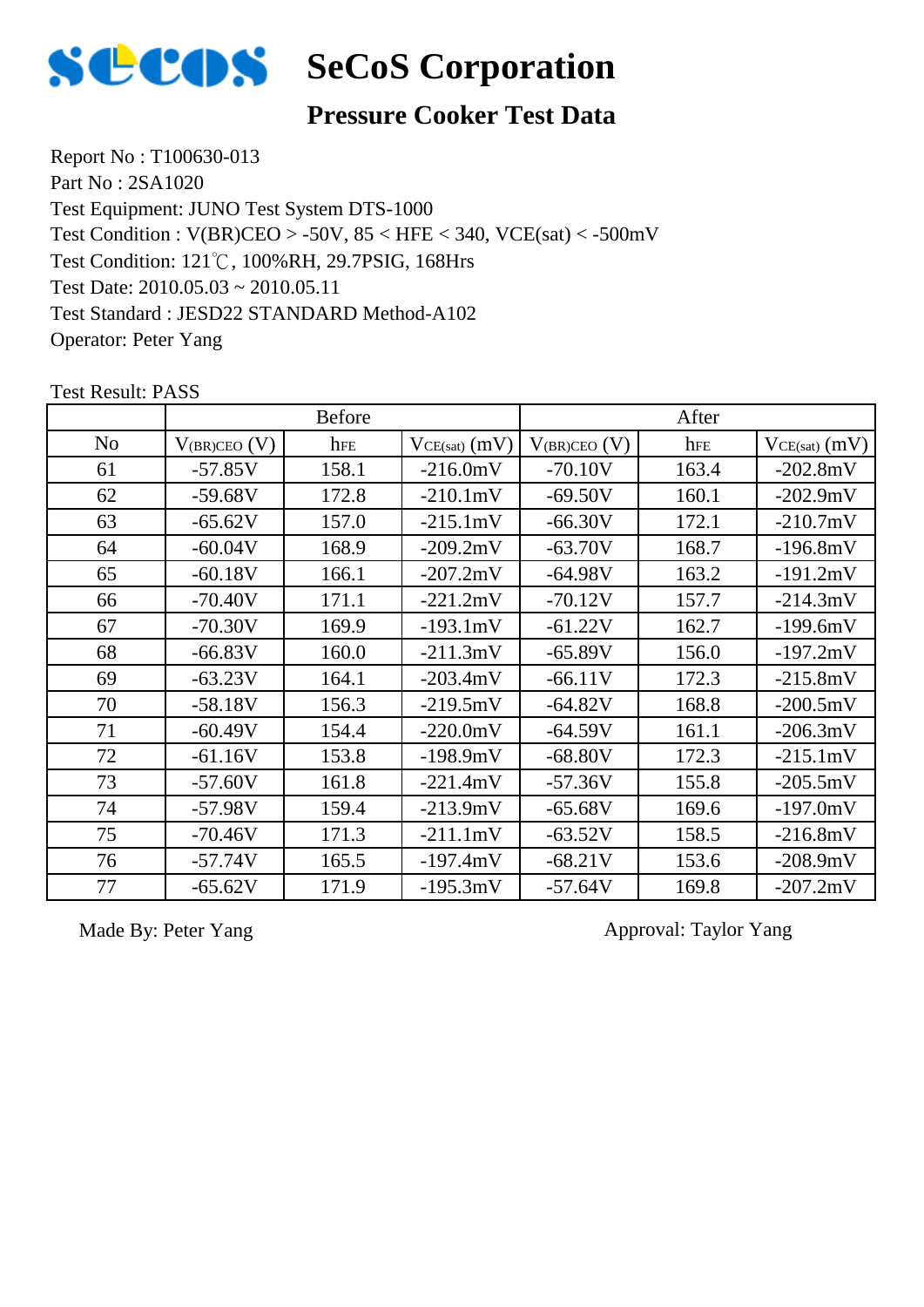

### **Pressure Cooker Test Data**

Report No : T100630-013 Part No : 2SA1020 Test Equipment: JUNO Test System DTS-1000 Test Condition: 121℃, 100%RH, 29.7PSIG, 168Hrs Test Date: 2010.05.03 ~ 2010.05.11 Test Standard : JESD22 STANDARD Method-A102 Operator: Peter Yang Test Condition : V(BR)CEO > -50V, 85 < HFE < 340, VCE(sat) < -500mV

| <b>Test Result: PASS</b> |  |
|--------------------------|--|
|--------------------------|--|

|                |                   | <b>Before</b> |                 |                   | After |                   |
|----------------|-------------------|---------------|-----------------|-------------------|-------|-------------------|
| N <sub>o</sub> | $V_{(BR)CEO} (V)$ | hFE           | $VCE(sat)$ (mV) | $V_{(BR)CEO} (V)$ | hFE   | $VCE(sat)$ $(mV)$ |
| 61             | $-57.85V$         | 158.1         | $-216.0mV$      | $-70.10V$         | 163.4 | $-202.8mV$        |
| 62             | $-59.68V$         | 172.8         | $-210.1mV$      | $-69.50V$         | 160.1 | $-202.9mV$        |
| 63             | $-65.62V$         | 157.0         | $-215.1mV$      | $-66.30V$         | 172.1 | $-210.7mV$        |
| 64             | $-60.04V$         | 168.9         | $-209.2mV$      | $-63.70V$         | 168.7 | $-196.8mV$        |
| 65             | $-60.18V$         | 166.1         | $-207.2mV$      | $-64.98V$         | 163.2 | $-191.2mV$        |
| 66             | $-70.40V$         | 171.1         | $-221.2mV$      | $-70.12V$         | 157.7 | $-214.3mV$        |
| 67             | $-70.30V$         | 169.9         | $-193.1mV$      | $-61.22V$         | 162.7 | $-199.6mV$        |
| 68             | $-66.83V$         | 160.0         | $-211.3mV$      | $-65.89V$         | 156.0 | $-197.2mV$        |
| 69             | $-63.23V$         | 164.1         | $-203.4mV$      | $-66.11V$         | 172.3 | $-215.8mV$        |
| 70             | $-58.18V$         | 156.3         | $-219.5mV$      | $-64.82V$         | 168.8 | $-200.5mV$        |
| 71             | $-60.49V$         | 154.4         | $-220.0mV$      | $-64.59V$         | 161.1 | $-206.3mV$        |
| 72             | $-61.16V$         | 153.8         | $-198.9mV$      | $-68.80V$         | 172.3 | $-215.1mV$        |
| 73             | $-57.60V$         | 161.8         | $-221.4mV$      | $-57.36V$         | 155.8 | $-205.5mV$        |
| 74             | $-57.98V$         | 159.4         | $-213.9mV$      | $-65.68V$         | 169.6 | $-197.0mV$        |
| 75             | $-70.46V$         | 171.3         | $-211.1mV$      | $-63.52V$         | 158.5 | $-216.8mV$        |
| 76             | $-57.74V$         | 165.5         | $-197.4mV$      | $-68.21V$         | 153.6 | $-208.9mV$        |
| 77             | $-65.62V$         | 171.9         | $-195.3mV$      | $-57.64V$         | 169.8 | $-207.2mV$        |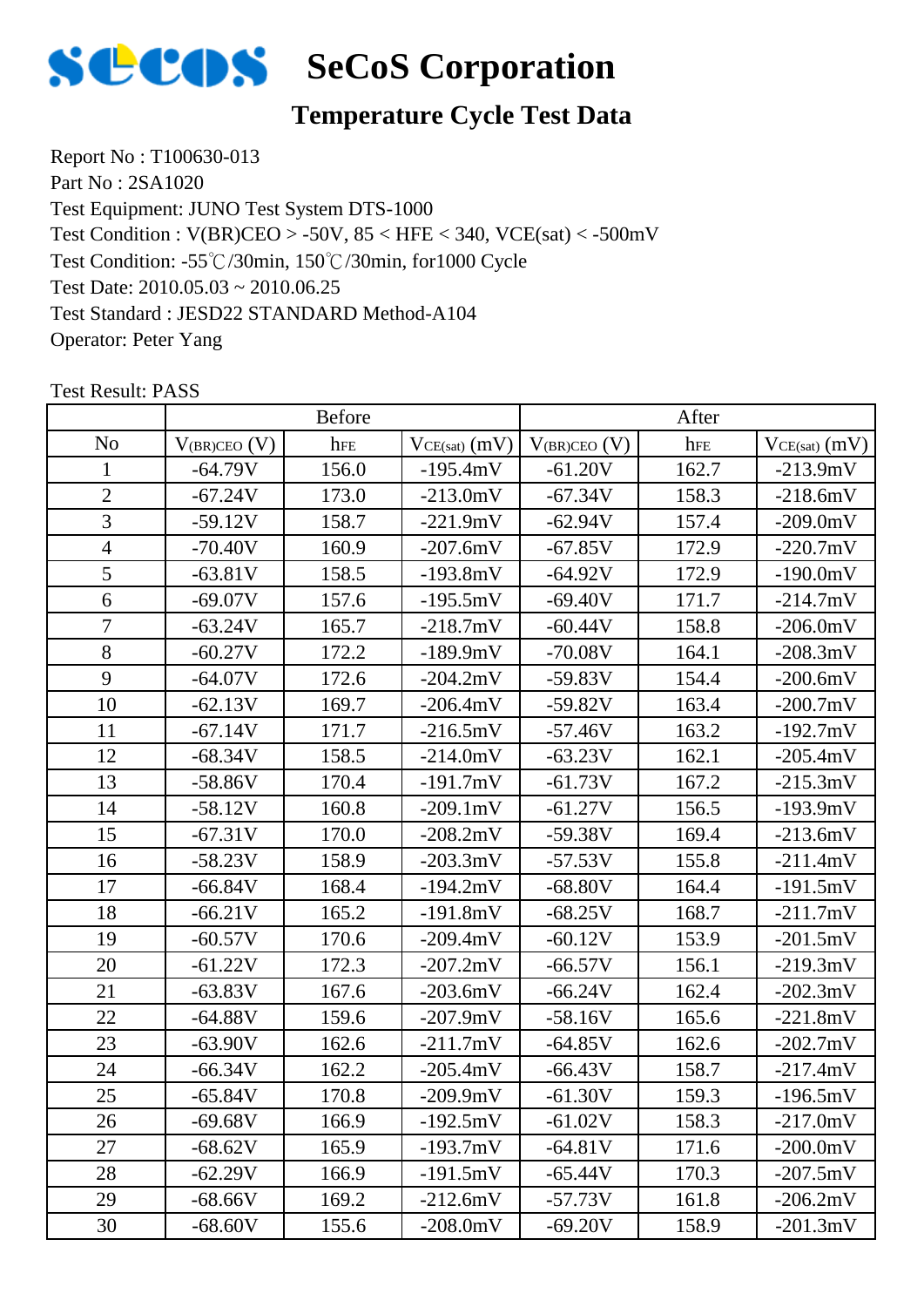

# **Temperature Cycle Test Data**

Report No : T100630-013 Part No : 2SA1020 Test Equipment: JUNO Test System DTS-1000 Test Condition: -55℃/30min, 150℃/30min, for1000 Cycle Test Date: 2010.05.03 ~ 2010.06.25 Test Standard : JESD22 STANDARD Method-A104 Operator: Peter Yang Test Condition : V(BR)CEO > -50V, 85 < HFE < 340, VCE(sat) < -500mV

|                |                   | <b>Before</b> |                 |                     | After |                   |
|----------------|-------------------|---------------|-----------------|---------------------|-------|-------------------|
| N <sub>o</sub> | $V_{(BR)CEO} (V)$ | hFE           | $VCE(sat)$ (mV) | $V_{(BR)CEO}$ $(V)$ | hFE   | $VCE(sat)$ $(mV)$ |
| 1              | $-64.79V$         | 156.0         | $-195.4mV$      | $-61.20V$           | 162.7 | $-213.9mV$        |
| $\overline{2}$ | $-67.24V$         | 173.0         | $-213.0mV$      | $-67.34V$           | 158.3 | $-218.6mV$        |
| $\overline{3}$ | $-59.12V$         | 158.7         | $-221.9mV$      | $-62.94V$           | 157.4 | $-209.0mV$        |
| $\overline{4}$ | $-70.40V$         | 160.9         | $-207.6mV$      | $-67.85V$           | 172.9 | $-220.7mV$        |
| 5              | $-63.81V$         | 158.5         | $-193.8mV$      | $-64.92V$           | 172.9 | $-190.0mV$        |
| 6              | $-69.07V$         | 157.6         | $-195.5mV$      | $-69.40V$           | 171.7 | $-214.7mV$        |
| $\overline{7}$ | $-63.24V$         | 165.7         | $-218.7mV$      | $-60.44V$           | 158.8 | $-206.0mV$        |
| 8              | $-60.27V$         | 172.2         | $-189.9mV$      | $-70.08V$           | 164.1 | $-208.3mV$        |
| 9              | $-64.07V$         | 172.6         | $-204.2mV$      | $-59.83V$           | 154.4 | $-200.6mV$        |
| 10             | $-62.13V$         | 169.7         | $-206.4mV$      | $-59.82V$           | 163.4 | $-200.7mV$        |
| 11             | $-67.14V$         | 171.7         | $-216.5mV$      | $-57.46V$           | 163.2 | $-192.7mV$        |
| 12             | $-68.34V$         | 158.5         | $-214.0mV$      | $-63.23V$           | 162.1 | $-205.4mV$        |
| 13             | $-58.86V$         | 170.4         | $-191.7mV$      | $-61.73V$           | 167.2 | $-215.3mV$        |
| 14             | $-58.12V$         | 160.8         | $-209.1mV$      | $-61.27V$           | 156.5 | $-193.9mV$        |
| 15             | $-67.31V$         | 170.0         | $-208.2mV$      | $-59.38V$           | 169.4 | $-213.6mV$        |
| 16             | $-58.23V$         | 158.9         | $-203.3mV$      | $-57.53V$           | 155.8 | $-211.4mV$        |
| 17             | $-66.84V$         | 168.4         | $-194.2mV$      | $-68.80V$           | 164.4 | $-191.5mV$        |
| 18             | $-66.21V$         | 165.2         | $-191.8mV$      | $-68.25V$           | 168.7 | $-211.7mV$        |
| 19             | $-60.57V$         | 170.6         | $-209.4mV$      | $-60.12V$           | 153.9 | $-201.5mV$        |
| 20             | $-61.22V$         | 172.3         | $-207.2mV$      | $-66.57V$           | 156.1 | $-219.3mV$        |
| 21             | $-63.83V$         | 167.6         | $-203.6mV$      | $-66.24V$           | 162.4 | $-202.3mV$        |
| 22             | $-64.88V$         | 159.6         | $-207.9mV$      | $-58.16V$           | 165.6 | $-221.8mV$        |
| 23             | $-63.90V$         | 162.6         | $-211.7mV$      | $-64.85V$           | 162.6 | $-202.7mV$        |
| 24             | $-66.34V$         | 162.2         | $-205.4mV$      | $-66.43V$           | 158.7 | $-217.4mV$        |
| 25             | -65.84V           | 170.8         | $-209.9m$       | $-61.30V$           | 159.3 | $-196.5mV$        |
| 26             | $-69.68V$         | 166.9         | $-192.5mV$      | $-61.02V$           | 158.3 | $-217.0mV$        |
| 27             | $-68.62V$         | 165.9         | $-193.7mV$      | $-64.81V$           | 171.6 | $-200.0mV$        |
| 28             | $-62.29V$         | 166.9         | $-191.5mV$      | $-65.44V$           | 170.3 | $-207.5mV$        |
| 29             | $-68.66V$         | 169.2         | $-212.6mV$      | $-57.73V$           | 161.8 | $-206.2mV$        |
| 30             | $-68.60V$         | 155.6         | $-208.0$ mV     | $-69.20V$           | 158.9 | $-201.3mV$        |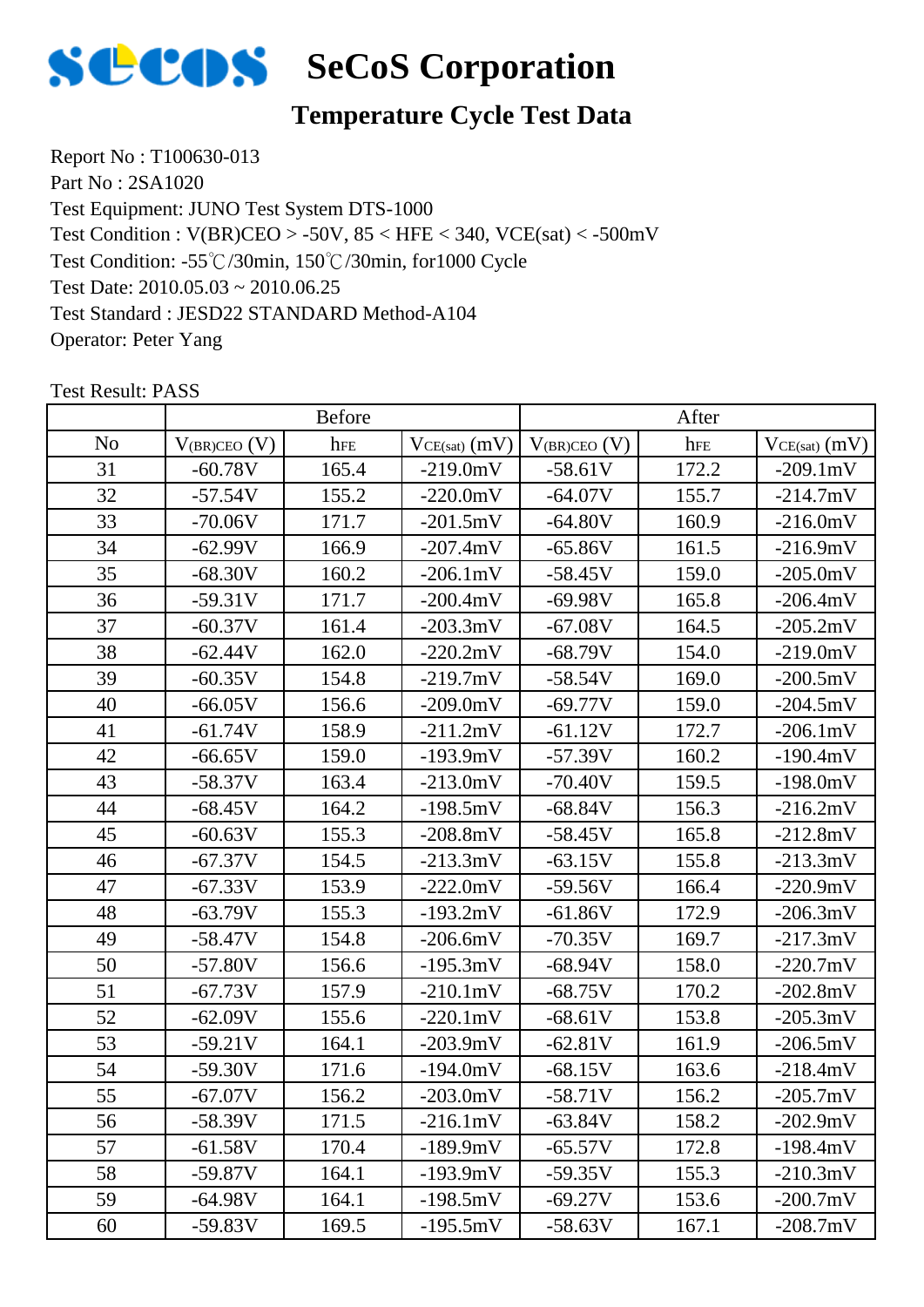

# **Temperature Cycle Test Data**

Report No : T100630-013 Part No : 2SA1020 Test Equipment: JUNO Test System DTS-1000 Test Condition: -55℃/30min, 150℃/30min, for1000 Cycle Test Date: 2010.05.03 ~ 2010.06.25 Test Standard : JESD22 STANDARD Method-A104 Operator: Peter Yang Test Condition : V(BR)CEO > -50V, 85 < HFE < 340, VCE(sat) < -500mV

|    |                   | Before |                   |                   | After |                   |
|----|-------------------|--------|-------------------|-------------------|-------|-------------------|
| No | $V_{(BR)CEO} (V)$ | hFE    | $VCE(sat)$ $(mV)$ | $V_{(BR)CEO} (V)$ | hFE   | $VCE(sat)$ $(mV)$ |
| 31 | $-60.78V$         | 165.4  | $-219.0mV$        | $-58.61V$         | 172.2 | $-209.1mV$        |
| 32 | $-57.54V$         | 155.2  | $-220.0mV$        | $-64.07V$         | 155.7 | $-214.7mV$        |
| 33 | $-70.06V$         | 171.7  | $-201.5mV$        | $-64.80V$         | 160.9 | $-216.0mV$        |
| 34 | $-62.99V$         | 166.9  | $-207.4mV$        | $-65.86V$         | 161.5 | $-216.9mV$        |
| 35 | $-68.30V$         | 160.2  | $-206.1mV$        | $-58.45V$         | 159.0 | $-205.0mV$        |
| 36 | $-59.31V$         | 171.7  | $-200.4mV$        | $-69.98V$         | 165.8 | $-206.4mV$        |
| 37 | $-60.37V$         | 161.4  | $-203.3mV$        | $-67.08V$         | 164.5 | $-205.2mV$        |
| 38 | $-62.44V$         | 162.0  | $-220.2mV$        | $-68.79V$         | 154.0 | $-219.0mV$        |
| 39 | $-60.35V$         | 154.8  | $-219.7mV$        | $-58.54V$         | 169.0 | $-200.5mV$        |
| 40 | $-66.05V$         | 156.6  | $-209.0mV$        | $-69.77V$         | 159.0 | $-204.5mV$        |
| 41 | $-61.74V$         | 158.9  | $-211.2mV$        | $-61.12V$         | 172.7 | $-206.1mV$        |
| 42 | $-66.65V$         | 159.0  | $-193.9mV$        | $-57.39V$         | 160.2 | $-190.4mV$        |
| 43 | $-58.37V$         | 163.4  | $-213.0mV$        | $-70.40V$         | 159.5 | $-198.0mV$        |
| 44 | $-68.45V$         | 164.2  | $-198.5mV$        | $-68.84V$         | 156.3 | $-216.2mV$        |
| 45 | $-60.63V$         | 155.3  | $-208.8mV$        | $-58.45V$         | 165.8 | $-212.8mV$        |
| 46 | $-67.37V$         | 154.5  | $-213.3mV$        | $-63.15V$         | 155.8 | $-213.3mV$        |
| 47 | $-67.33V$         | 153.9  | $-222.0mV$        | $-59.56V$         | 166.4 | $-220.9mV$        |
| 48 | $-63.79V$         | 155.3  | $-193.2mV$        | $-61.86V$         | 172.9 | $-206.3mV$        |
| 49 | $-58.47V$         | 154.8  | $-206.6mV$        | $-70.35V$         | 169.7 | $-217.3mV$        |
| 50 | $-57.80V$         | 156.6  | $-195.3mV$        | $-68.94V$         | 158.0 | $-220.7mV$        |
| 51 | $-67.73V$         | 157.9  | $-210.1mV$        | $-68.75V$         | 170.2 | $-202.8mV$        |
| 52 | $-62.09V$         | 155.6  | $-220.1mV$        | $-68.61V$         | 153.8 | $-205.3mV$        |
| 53 | $-59.21V$         | 164.1  | $-203.9mV$        | $-62.81V$         | 161.9 | $-206.5mV$        |
| 54 | $-59.30V$         | 171.6  | $-194.0mV$        | $-68.15V$         | 163.6 | $-218.4mV$        |
| 55 | $-67.07V$         | 156.2  | $-203.0mV$        | $-58.71V$         | 156.2 | $-205.7mV$        |
| 56 | $-58.39V$         | 171.5  | $-216.1mV$        | $-63.84V$         | 158.2 | $-202.9mV$        |
| 57 | $-61.58V$         | 170.4  | $-189.9mV$        | $-65.57V$         | 172.8 | $-198.4mV$        |
| 58 | $-59.87V$         | 164.1  | $-193.9mV$        | $-59.35V$         | 155.3 | $-210.3mV$        |
| 59 | $-64.98V$         | 164.1  | $-198.5mV$        | $-69.27V$         | 153.6 | $-200.7mV$        |
| 60 | $-59.83V$         | 169.5  | $-195.5mV$        | $-58.63V$         | 167.1 | $-208.7mV$        |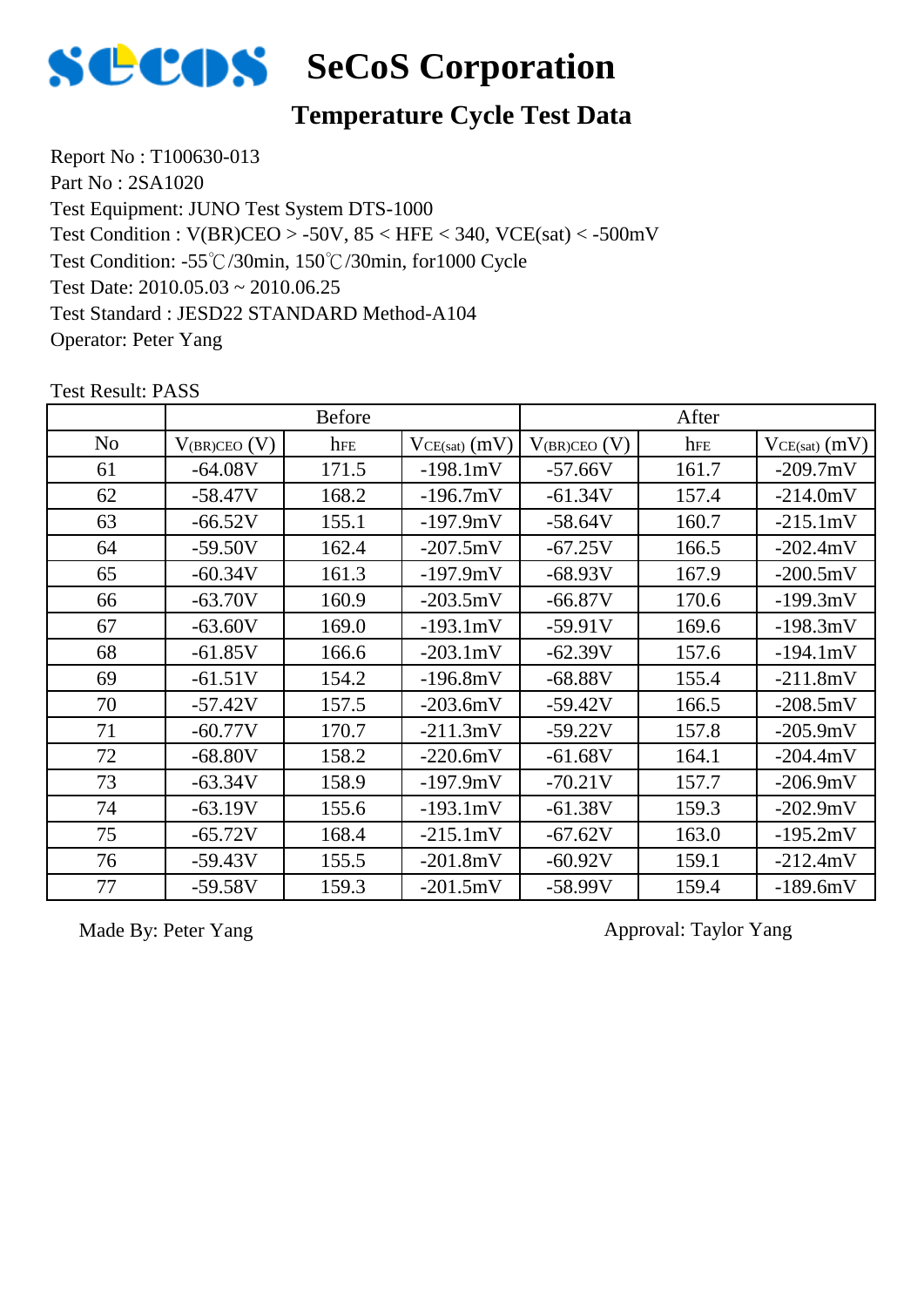

### **Temperature Cycle Test Data**

Report No : T100630-013 Part No : 2SA1020 Test Equipment: JUNO Test System DTS-1000 Test Condition: -55℃/30min, 150℃/30min, for1000 Cycle Test Date: 2010.05.03 ~ 2010.06.25 Test Standard : JESD22 STANDARD Method-A104 Operator: Peter Yang Test Condition : V(BR)CEO > -50V, 85 < HFE < 340, VCE(sat) < -500mV

|                |                   | <b>Before</b> |                    |                     | After |                   |
|----------------|-------------------|---------------|--------------------|---------------------|-------|-------------------|
| N <sub>o</sub> | $V_{(BR)CEO}$ (V) | hFE           | $VCE(sat)$ $(mV)$  | $V_{(BR)CEO}$ $(V)$ | hFE   | $VCE(sat)$ $(mV)$ |
| 61             | $-64.08V$         | 171.5         | $-198.1mV$         | $-57.66V$           | 161.7 | $-209.7mV$        |
| 62             | $-58.47V$         | 168.2         | $-196.7mV$         | $-61.34V$           | 157.4 | $-214.0mV$        |
| 63             | $-66.52V$         | 155.1         | $-197.9mV$         | $-58.64V$           | 160.7 | $-215.1mV$        |
| 64             | $-59.50V$         | 162.4         | $-207.5mV$         | $-67.25V$           | 166.5 | $-202.4mV$        |
| 65             | $-60.34V$         | 161.3         | $-197.9mV$         | $-68.93V$           | 167.9 | $-200.5mV$        |
| 66             | $-63.70V$         | 160.9         | $-203.5mV$         | $-66.87V$           | 170.6 | $-199.3mV$        |
| 67             | $-63.60V$         | 169.0         | $-193.1mV$         | $-59.91V$           | 169.6 | $-198.3mV$        |
| 68             | $-61.85V$         | 166.6         | $-203.1 \text{mV}$ | $-62.39V$           | 157.6 | $-194.1mV$        |
| 69             | $-61.51V$         | 154.2         | $-196.8mV$         | $-68.88V$           | 155.4 | $-211.8mV$        |
| 70             | $-57.42V$         | 157.5         | $-203.6mV$         | $-59.42V$           | 166.5 | $-208.5mV$        |
| 71             | $-60.77V$         | 170.7         | $-211.3mV$         | $-59.22V$           | 157.8 | $-205.9mV$        |
| 72             | $-68.80V$         | 158.2         | $-220.6mV$         | $-61.68V$           | 164.1 | $-204.4mV$        |
| 73             | $-63.34V$         | 158.9         | $-197.9mV$         | $-70.21V$           | 157.7 | $-206.9mV$        |
| 74             | $-63.19V$         | 155.6         | $-193.1mV$         | $-61.38V$           | 159.3 | $-202.9mV$        |
| 75             | $-65.72V$         | 168.4         | $-215.1mV$         | $-67.62V$           | 163.0 | $-195.2mV$        |
| 76             | $-59.43V$         | 155.5         | $-201.8mV$         | $-60.92V$           | 159.1 | $-212.4mV$        |
| 77             | $-59.58V$         | 159.3         | $-201.5mV$         | $-58.99V$           | 159.4 | $-189.6mV$        |

Test Result: PASS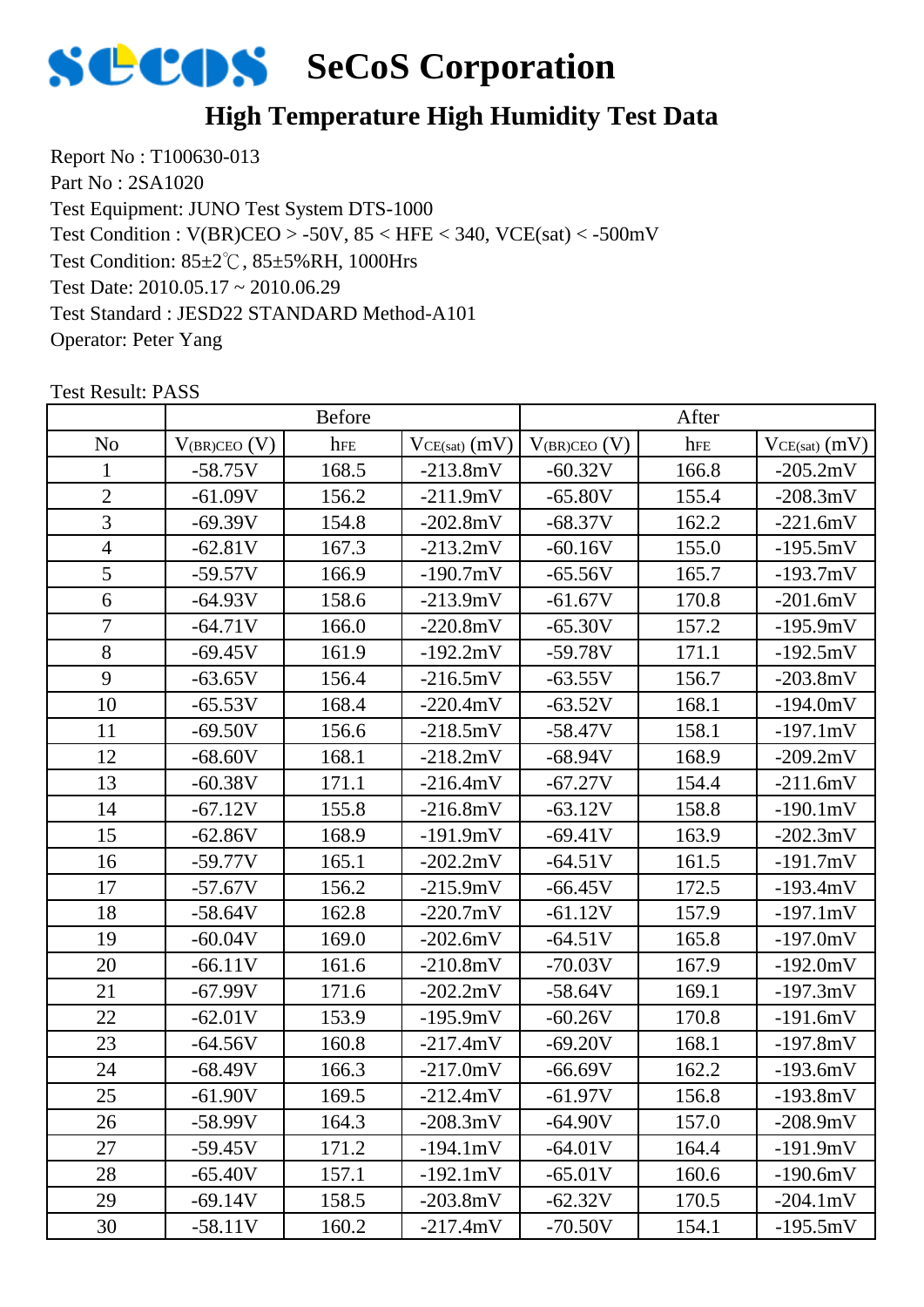

# **High Temperature High Humidity Test Data**

Report No : T100630-013 Part No : 2SA1020 Test Equipment: JUNO Test System DTS-1000 Test Condition: 85±2℃, 85±5%RH, 1000Hrs Test Date: 2010.05.17 ~ 2010.06.29 Test Standard : JESD22 STANDARD Method-A101 Operator: Peter Yang Test Condition : V(BR)CEO > -50V, 85 < HFE < 340, VCE(sat) < -500mV

|                |                   | <b>Before</b> |                   |                   | After |                    |
|----------------|-------------------|---------------|-------------------|-------------------|-------|--------------------|
| N <sub>o</sub> | $V_{(BR)CEO}$ (V) | hFE           | $VCE(sat)$ $(mV)$ | $V_{(BR)CEO} (V)$ | hFE   | $VCE(sat)$ $(mV)$  |
| 1              | $-58.75V$         | 168.5         | $-213.8mV$        | $-60.32V$         | 166.8 | $-205.2mV$         |
| $\sqrt{2}$     | $-61.09V$         | 156.2         | $-211.9mV$        | $-65.80V$         | 155.4 | $-208.3mV$         |
| 3              | $-69.39V$         | 154.8         | $-202.8mV$        | $-68.37V$         | 162.2 | $-221.6mV$         |
| $\overline{4}$ | $-62.81V$         | 167.3         | $-213.2mV$        | $-60.16V$         | 155.0 | $-195.5mV$         |
| 5              | $-59.57V$         | 166.9         | $-190.7mV$        | $-65.56V$         | 165.7 | $-193.7mV$         |
| 6              | $-64.93V$         | 158.6         | $-213.9mV$        | $-61.67V$         | 170.8 | $-201.6mV$         |
| $\overline{7}$ | $-64.71V$         | 166.0         | $-220.8mV$        | $-65.30V$         | 157.2 | $-195.9mV$         |
| 8              | $-69.45V$         | 161.9         | $-192.2mV$        | $-59.78V$         | 171.1 | $-192.5mV$         |
| 9              | $-63.65V$         | 156.4         | $-216.5mV$        | $-63.55V$         | 156.7 | $-203.8mV$         |
| 10             | $-65.53V$         | 168.4         | $-220.4mV$        | $-63.52V$         | 168.1 | $-194.0mV$         |
| 11             | $-69.50V$         | 156.6         | $-218.5mV$        | $-58.47V$         | 158.1 | $-197.1mV$         |
| 12             | $-68.60V$         | 168.1         | $-218.2mV$        | $-68.94V$         | 168.9 | $-209.2mV$         |
| 13             | $-60.38V$         | 171.1         | $-216.4mV$        | $-67.27V$         | 154.4 | $-211.6mV$         |
| 14             | $-67.12V$         | 155.8         | $-216.8mV$        | $-63.12V$         | 158.8 | $-190.1mV$         |
| 15             | $-62.86V$         | 168.9         | $-191.9mV$        | $-69.41V$         | 163.9 | $-202.3mV$         |
| 16             | $-59.77V$         | 165.1         | $-202.2mV$        | $-64.51V$         | 161.5 | $-191.7mV$         |
| 17             | $-57.67V$         | 156.2         | $-215.9mV$        | $-66.45V$         | 172.5 | $-193.4mV$         |
| 18             | $-58.64V$         | 162.8         | $-220.7mV$        | $-61.12V$         | 157.9 | $-197.1mV$         |
| 19             | $-60.04V$         | 169.0         | $-202.6mV$        | $-64.51V$         | 165.8 | $-197.0mV$         |
| 20             | $-66.11V$         | 161.6         | $-210.8mV$        | $-70.03V$         | 167.9 | $-192.0mV$         |
| 21             | $-67.99V$         | 171.6         | $-202.2mV$        | $-58.64V$         | 169.1 | $-197.3mV$         |
| 22             | $-62.01V$         | 153.9         | $-195.9mV$        | $-60.26V$         | 170.8 | $-191.6mV$         |
| 23             | $-64.56V$         | 160.8         | $-217.4mV$        | $-69.20V$         | 168.1 | $-197.8mV$         |
| 24             | $-68.49V$         | 166.3         | $-217.0mV$        | $-66.69V$         | 162.2 | $-193.6mV$         |
| 25             | $-61.90V$         | 169.5         | $-212.4mV$        | $-61.97V$         | 156.8 | $-193.8mV$         |
| 26             | $-58.99V$         | 164.3         | $-208.3mV$        | $-64.90V$         | 157.0 | $-208.9mV$         |
| 27             | $-59.45V$         | 171.2         | $-194.1mV$        | $-64.01V$         | 164.4 | $-191.9mV$         |
| 28             | $-65.40V$         | 157.1         | $-192.1mV$        | $-65.01V$         | 160.6 | $-190.6mV$         |
| 29             | $-69.14V$         | 158.5         | $-203.8mV$        | $-62.32V$         | 170.5 | $-204.1 \text{mV}$ |
| 30             | $-58.11V$         | 160.2         | $-217.4mV$        | $-70.50V$         | 154.1 | $-195.5mV$         |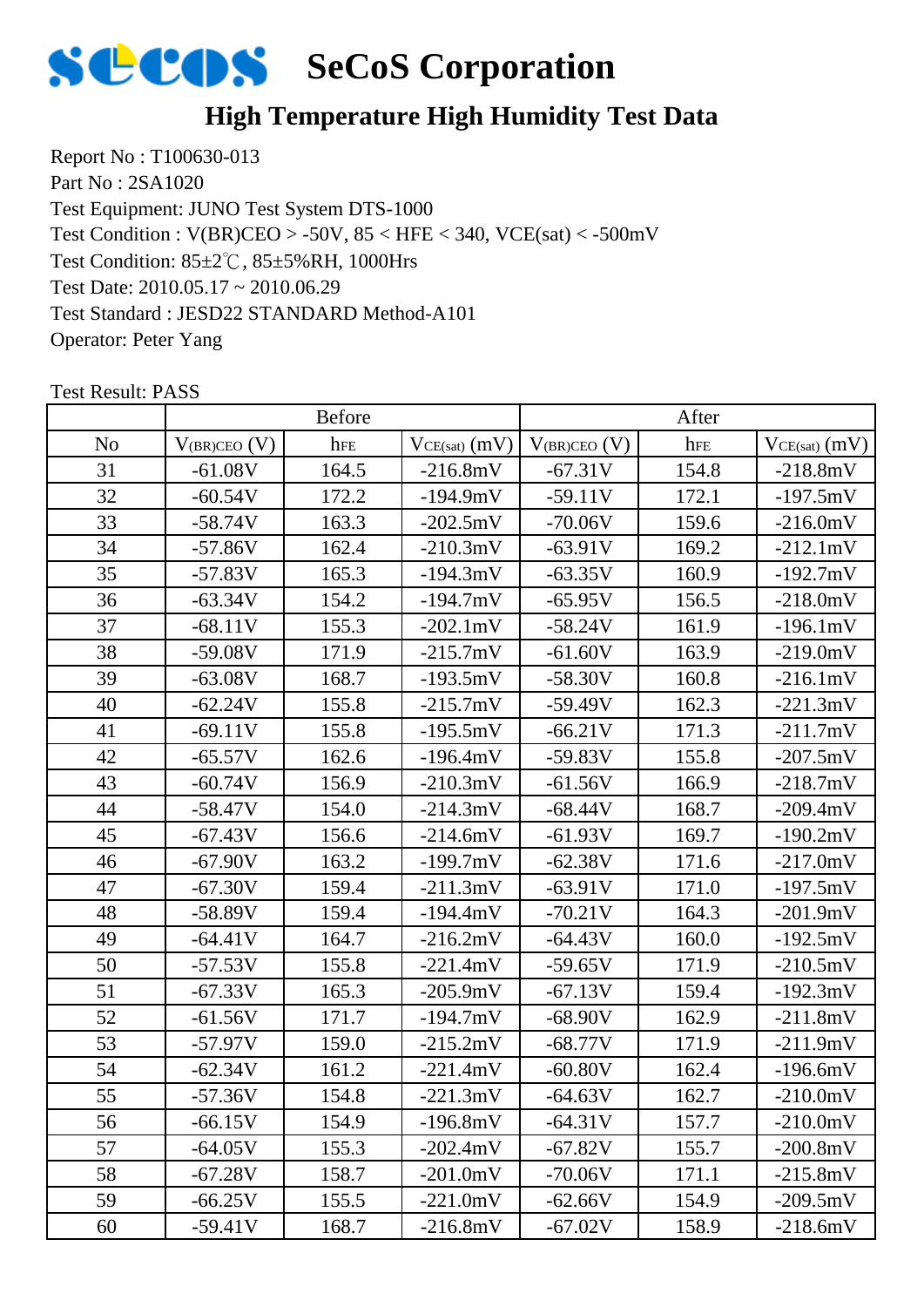

# **High Temperature High Humidity Test Data**

Report No : T100630-013 Part No : 2SA1020 Test Equipment: JUNO Test System DTS-1000 Test Condition: 85±2℃, 85±5%RH, 1000Hrs Test Date: 2010.05.17 ~ 2010.06.29 Test Standard : JESD22 STANDARD Method-A101 Operator: Peter Yang Test Condition : V(BR)CEO > -50V, 85 < HFE < 340, VCE(sat) < -500mV

|                |                   | <b>Before</b> |                    |                     | After |                   |
|----------------|-------------------|---------------|--------------------|---------------------|-------|-------------------|
| N <sub>o</sub> | $V_{(BR)CEO} (V)$ | hFE           | $VCE(sat)$ $(mV)$  | $V_{(BR)CEO}$ $(V)$ | hFE   | $VCE(sat)$ $(mV)$ |
| 31             | $-61.08V$         | 164.5         | $-216.8mV$         | $-67.31V$           | 154.8 | $-218.8mV$        |
| 32             | $-60.54V$         | 172.2         | $-194.9mV$         | $-59.11V$           | 172.1 | $-197.5mV$        |
| 33             | $-58.74V$         | 163.3         | $-202.5mV$         | $-70.06V$           | 159.6 | $-216.0mV$        |
| 34             | $-57.86V$         | 162.4         | $-210.3mV$         | $-63.91V$           | 169.2 | $-212.1mV$        |
| 35             | $-57.83V$         | 165.3         | $-194.3mV$         | $-63.35V$           | 160.9 | $-192.7mV$        |
| 36             | $-63.34V$         | 154.2         | $-194.7mV$         | $-65.95V$           | 156.5 | $-218.0mV$        |
| 37             | $-68.11V$         | 155.3         | $-202.1 \text{mV}$ | $-58.24V$           | 161.9 | $-196.1mV$        |
| 38             | $-59.08V$         | 171.9         | $-215.7mV$         | $-61.60V$           | 163.9 | $-219.0mV$        |
| 39             | $-63.08V$         | 168.7         | $-193.5mV$         | $-58.30V$           | 160.8 | $-216.1mV$        |
| 40             | $-62.24V$         | 155.8         | $-215.7mV$         | $-59.49V$           | 162.3 | $-221.3mV$        |
| 41             | $-69.11V$         | 155.8         | $-195.5mV$         | $-66.21V$           | 171.3 | $-211.7mV$        |
| 42             | $-65.57V$         | 162.6         | $-196.4mV$         | $-59.83V$           | 155.8 | $-207.5mV$        |
| 43             | $-60.74V$         | 156.9         | $-210.3mV$         | $-61.56V$           | 166.9 | $-218.7mV$        |
| 44             | $-58.47V$         | 154.0         | $-214.3mV$         | $-68.44V$           | 168.7 | $-209.4mV$        |
| 45             | $-67.43V$         | 156.6         | $-214.6mV$         | $-61.93V$           | 169.7 | $-190.2mV$        |
| 46             | $-67.90V$         | 163.2         | $-199.7mV$         | $-62.38V$           | 171.6 | $-217.0mV$        |
| 47             | $-67.30V$         | 159.4         | $-211.3mV$         | $-63.91V$           | 171.0 | $-197.5mV$        |
| 48             | $-58.89V$         | 159.4         | $-194.4mV$         | $-70.21V$           | 164.3 | $-201.9mV$        |
| 49             | $-64.41V$         | 164.7         | $-216.2mV$         | $-64.43V$           | 160.0 | $-192.5mV$        |
| 50             | $-57.53V$         | 155.8         | $-221.4mV$         | $-59.65V$           | 171.9 | $-210.5mV$        |
| 51             | $-67.33V$         | 165.3         | $-205.9mV$         | $-67.13V$           | 159.4 | $-192.3mV$        |
| 52             | $-61.56V$         | 171.7         | $-194.7mV$         | $-68.90V$           | 162.9 | $-211.8mV$        |
| 53             | $-57.97V$         | 159.0         | $-215.2mV$         | $-68.77V$           | 171.9 | $-211.9mV$        |
| 54             | $-62.34V$         | 161.2         | $-221.4mV$         | $-60.80V$           | 162.4 | $-196.6mV$        |
| 55             | -57.36V           | 154.8         | $-221.3mV$         | $-64.63V$           | 162.7 | $-210.0mV$        |
| 56             | $-66.15V$         | 154.9         | $-196.8mV$         | $-64.31V$           | 157.7 | $-210.0mV$        |
| 57             | $-64.05V$         | 155.3         | $-202.4mV$         | $-67.82V$           | 155.7 | $-200.8mV$        |
| 58             | $-67.28V$         | 158.7         | $-201.0mV$         | $-70.06V$           | 171.1 | $-215.8mV$        |
| 59             | $-66.25V$         | 155.5         | $-221.0mV$         | $-62.66V$           | 154.9 | $-209.5mV$        |
| 60             | $-59.41V$         | 168.7         | $-216.8mV$         | $-67.02V$           | 158.9 | $-218.6mV$        |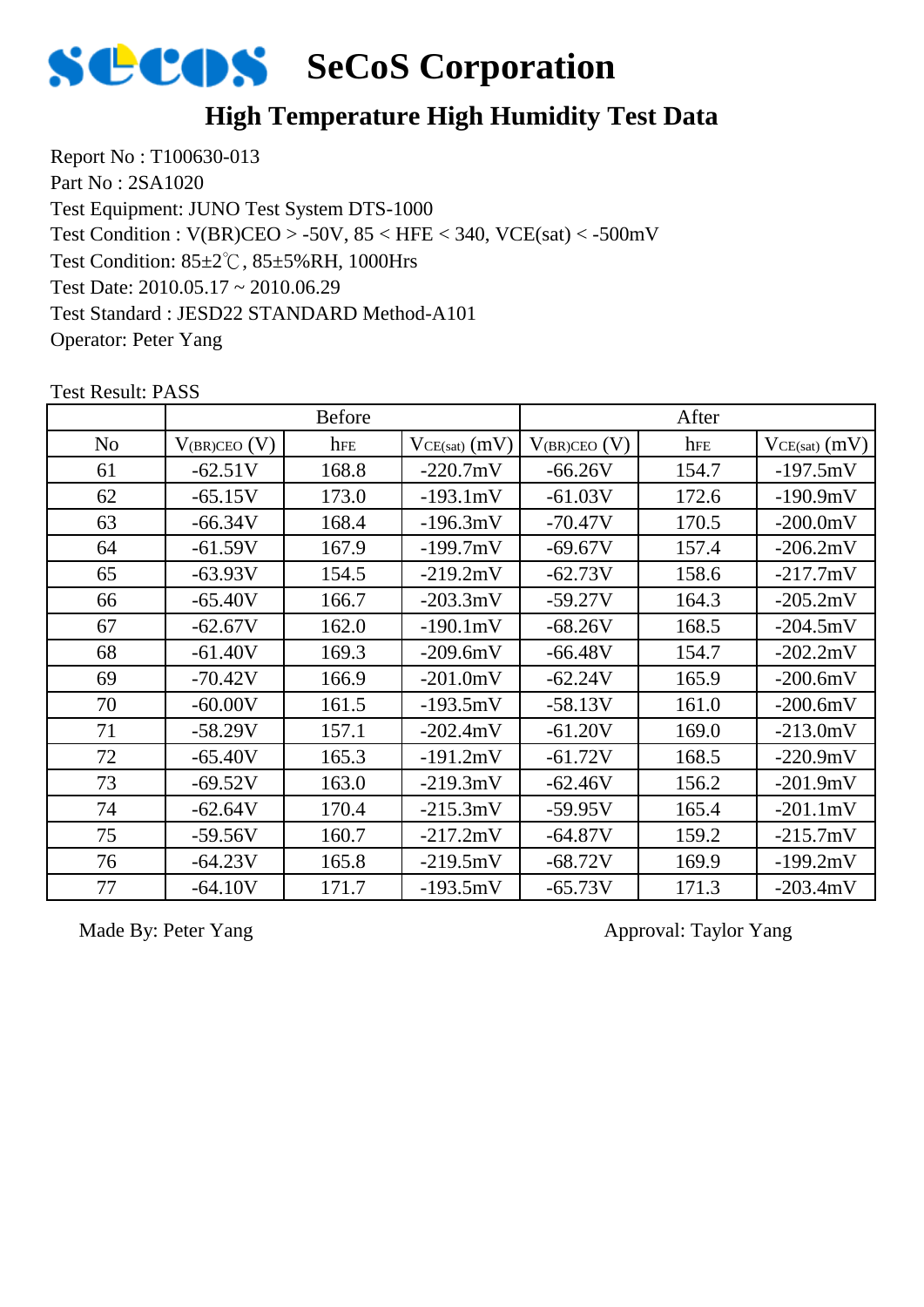

### **High Temperature High Humidity Test Data**

Report No : T100630-013 Part No : 2SA1020 Test Equipment: JUNO Test System DTS-1000 Test Condition: 85±2℃, 85±5%RH, 1000Hrs Test Date: 2010.05.17 ~ 2010.06.29 Test Standard : JESD22 STANDARD Method-A101 Operator: Peter Yang Test Condition : V(BR)CEO > -50V, 85 < HFE < 340, VCE(sat) < -500mV

#### No  $|V_{(BR)CEO)}(V)|$  hFE  $|V_{CE(sat)}(mV)| V_{(BR)CEO)}(V)|$  hFE  $|V_{CE(sat)}(mV)|$ Before After 61  $\vert$  -62.51V  $\vert$  168.8  $\vert$  -220.7mV  $\vert$  -66.26V  $\vert$  154.7  $\vert$  -197.5mV 62 -65.15V 173.0 -193.1mV -61.03V 172.6 -190.9mV 63 | -66.34V | 168.4 | -196.3mV | -70.47V | 170.5 | -200.0mV 64 | -61.59V | 167.9 | -199.7mV | -69.67V | 157.4 | -206.2mV 65 -63.93V 154.5 -219.2mV -62.73V 158.6 -217.7mV 66 | -65.40V | 166.7 | -203.3mV | -59.27V | 164.3 | -205.2mV 67 | -62.67V | 162.0 | -190.1mV | -68.26V | 168.5 | -204.5mV 68 | -61.40V | 169.3 | -209.6mV | -66.48V | 154.7 | -202.2mV 69 -70.42V 166.9 -201.0mV -62.24V 165.9 -200.6mV 70 | -60.00V | 161.5 | -193.5mV | -58.13V | 161.0 | -200.6mV 71 | -58.29V | 157.1 | -202.4mV | -61.20V | 169.0 | -213.0mV 72 | -65.40V | 165.3 | -191.2mV | -61.72V | 168.5 | -220.9mV 73 | -69.52V | 163.0 | -219.3mV | -62.46V | 156.2 | -201.9mV 74 | -62.64V | 170.4 | -215.3mV | -59.95V | 165.4 | -201.1mV 75 | -59.56V | 160.7 | -217.2mV | -64.87V | 159.2 | -215.7mV 76 | -64.23V | 165.8 | -219.5mV | -68.72V | 169.9 | -199.2mV 77 | -64.10V | 171.7 | -193.5mV | -65.73V | 171.3 | -203.4mV

Test Result: PASS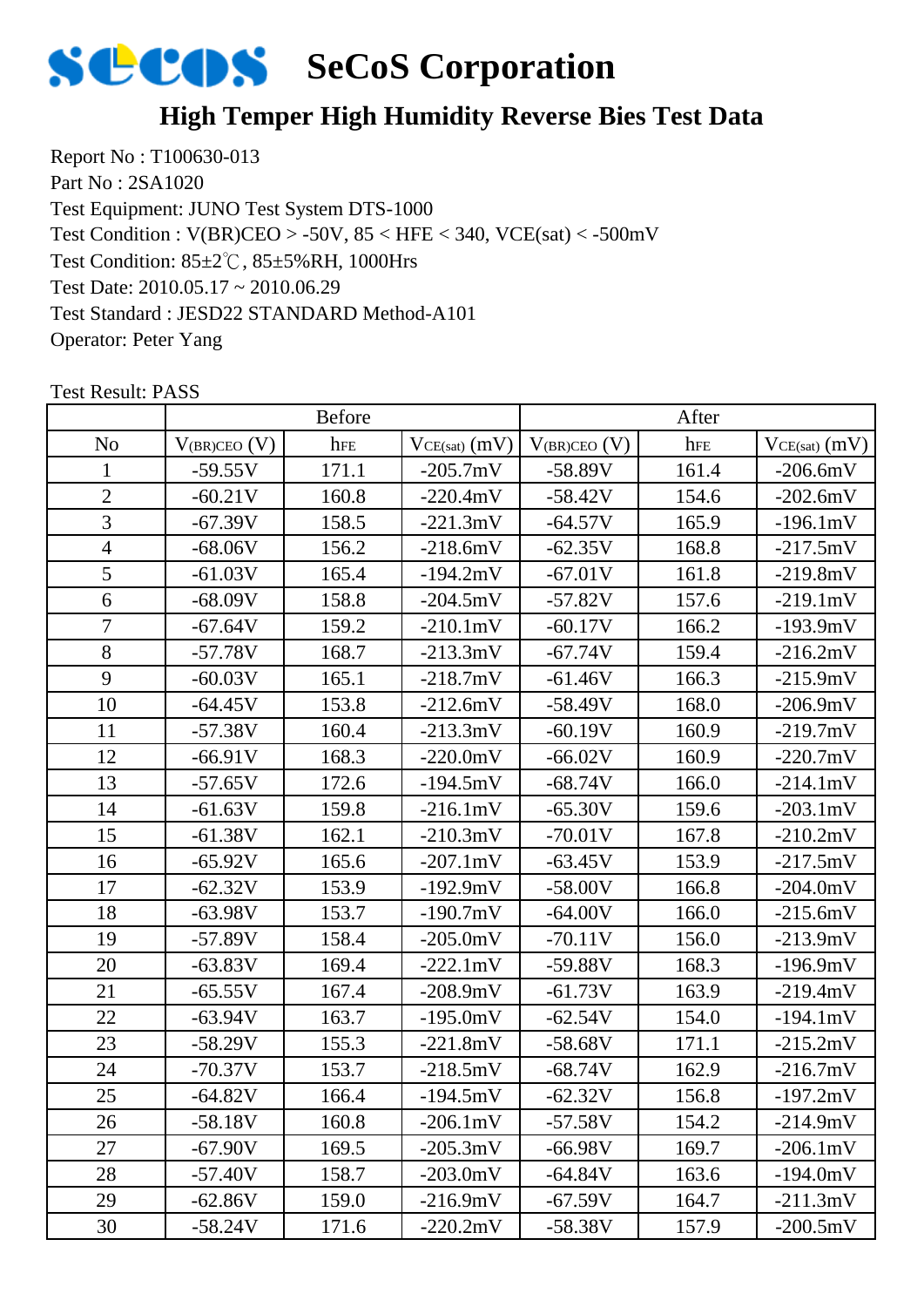

# **High Temper High Humidity Reverse Bies Test Data**

Report No : T100630-013 Part No : 2SA1020 Test Equipment: JUNO Test System DTS-1000 Test Condition: 85±2℃, 85±5%RH, 1000Hrs Test Date: 2010.05.17 ~ 2010.06.29 Test Standard : JESD22 STANDARD Method-A101 Operator: Peter Yang Test Condition : V(BR)CEO > -50V, 85 < HFE < 340, VCE(sat) < -500mV

|                |                   | <b>Before</b> |                    |                   | After |                    |
|----------------|-------------------|---------------|--------------------|-------------------|-------|--------------------|
| N <sub>o</sub> | $V_{(BR)CEO} (V)$ | hFE           | $VCE(sat)$ $(mV)$  | $V_{(BR)CEO} (V)$ | hFE   | $VCE(sat)$ $(mV)$  |
| 1              | $-59.55V$         | 171.1         | $-205.7mV$         | $-58.89V$         | 161.4 | $-206.6mV$         |
| $\overline{2}$ | $-60.21V$         | 160.8         | $-220.4mV$         | $-58.42V$         | 154.6 | $-202.6mV$         |
| 3              | $-67.39V$         | 158.5         | $-221.3mV$         | $-64.57V$         | 165.9 | $-196.1mV$         |
| $\overline{4}$ | $-68.06V$         | 156.2         | $-218.6mV$         | $-62.35V$         | 168.8 | $-217.5mV$         |
| 5              | $-61.03V$         | 165.4         | $-194.2mV$         | $-67.01V$         | 161.8 | $-219.8mV$         |
| 6              | $-68.09V$         | 158.8         | $-204.5mV$         | $-57.82V$         | 157.6 | $-219.1mV$         |
| $\overline{7}$ | $-67.64V$         | 159.2         | $-210.1mV$         | $-60.17V$         | 166.2 | $-193.9mV$         |
| 8              | $-57.78V$         | 168.7         | $-213.3mV$         | $-67.74V$         | 159.4 | $-216.2mV$         |
| 9              | $-60.03V$         | 165.1         | $-218.7mV$         | $-61.46V$         | 166.3 | $-215.9mV$         |
| 10             | $-64.45V$         | 153.8         | $-212.6mV$         | $-58.49V$         | 168.0 | $-206.9mV$         |
| 11             | $-57.38V$         | 160.4         | $-213.3mV$         | $-60.19V$         | 160.9 | $-219.7mV$         |
| 12             | $-66.91V$         | 168.3         | $-220.0mV$         | $-66.02V$         | 160.9 | $-220.7mV$         |
| 13             | $-57.65V$         | 172.6         | $-194.5mV$         | $-68.74V$         | 166.0 | $-214.1mV$         |
| 14             | $-61.63V$         | 159.8         | $-216.1mV$         | $-65.30V$         | 159.6 | $-203.1 \text{mV}$ |
| 15             | $-61.38V$         | 162.1         | $-210.3mV$         | $-70.01V$         | 167.8 | $-210.2mV$         |
| 16             | $-65.92V$         | 165.6         | $-207.1mV$         | $-63.45V$         | 153.9 | $-217.5mV$         |
| 17             | $-62.32V$         | 153.9         | $-192.9mV$         | $-58.00V$         | 166.8 | $-204.0mV$         |
| 18             | $-63.98V$         | 153.7         | $-190.7mV$         | $-64.00V$         | 166.0 | $-215.6mV$         |
| 19             | $-57.89V$         | 158.4         | $-205.0mV$         | $-70.11V$         | 156.0 | $-213.9mV$         |
| 20             | $-63.83V$         | 169.4         | $-222.1mV$         | $-59.88V$         | 168.3 | $-196.9mV$         |
| 21             | $-65.55V$         | 167.4         | $-208.9mV$         | $-61.73V$         | 163.9 | $-219.4mV$         |
| 22             | $-63.94V$         | 163.7         | $-195.0mV$         | $-62.54V$         | 154.0 | $-194.1mV$         |
| 23             | $-58.29V$         | 155.3         | $-221.8mV$         | $-58.68V$         | 171.1 | $-215.2mV$         |
| 24             | $-70.37V$         | 153.7         | $-218.5mV$         | $-68.74V$         | 162.9 | $-216.7mV$         |
| 25             | -64.82V           | 166.4         | $-194.5mV$         | $-62.32V$         | 156.8 | $-197.2mV$         |
| 26             | $-58.18V$         | 160.8         | $-206.1 \text{mV}$ | $-57.58V$         | 154.2 | $-214.9mV$         |
| 27             | $-67.90V$         | 169.5         | $-205.3mV$         | $-66.98V$         | 169.7 | $-206.1mV$         |
| 28             | $-57.40V$         | 158.7         | $-203.0mV$         | $-64.84V$         | 163.6 | $-194.0mV$         |
| 29             | $-62.86V$         | 159.0         | $-216.9mV$         | $-67.59V$         | 164.7 | $-211.3mV$         |
| 30             | $-58.24V$         | 171.6         | $-220.2mV$         | $-58.38V$         | 157.9 | $-200.5mV$         |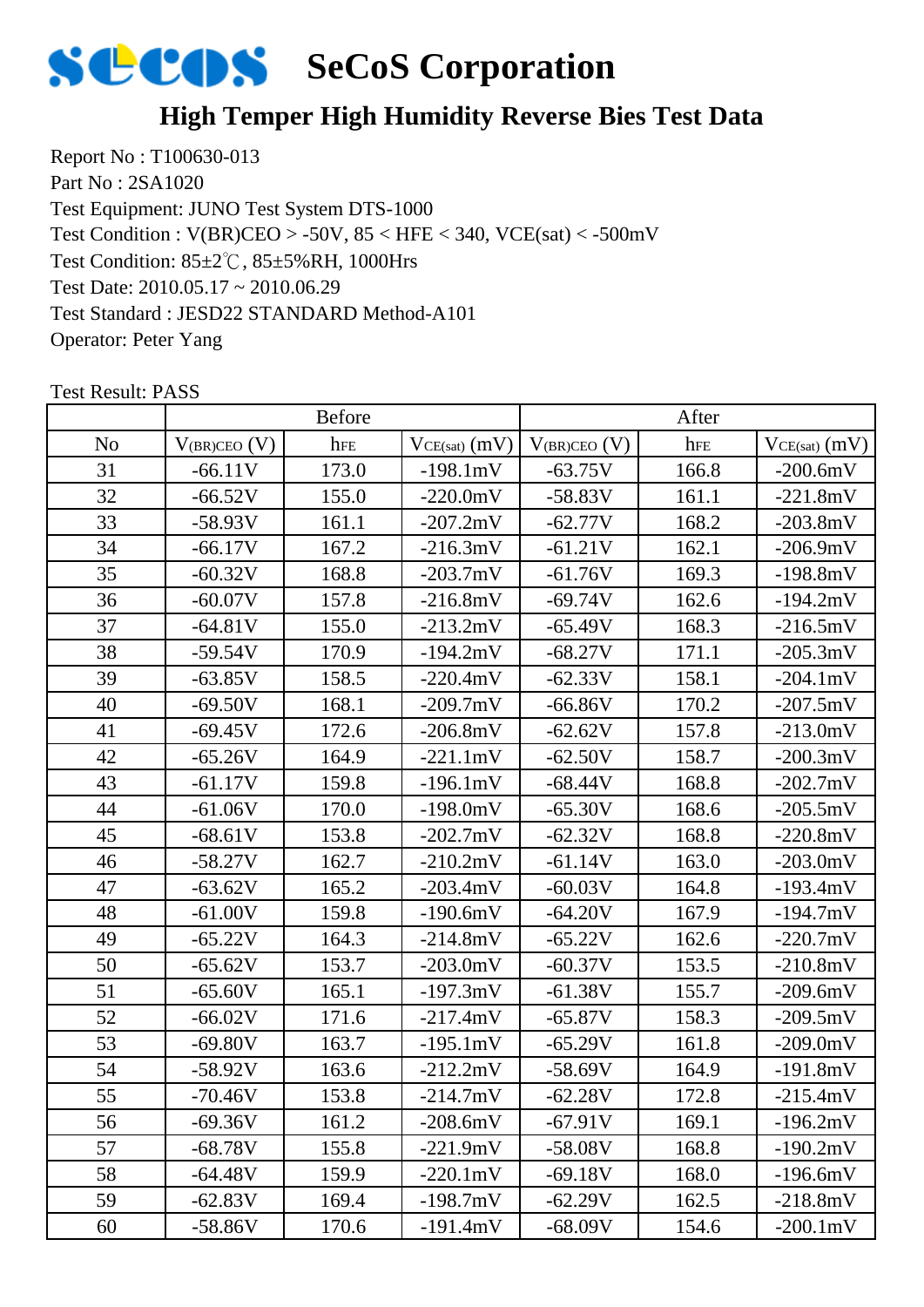

# **High Temper High Humidity Reverse Bies Test Data**

Report No : T100630-013 Part No : 2SA1020 Test Equipment: JUNO Test System DTS-1000 Test Condition: 85±2℃, 85±5%RH, 1000Hrs Test Date: 2010.05.17 ~ 2010.06.29 Test Standard : JESD22 STANDARD Method-A101 Operator: Peter Yang Test Condition : V(BR)CEO > -50V, 85 < HFE < 340, VCE(sat) < -500mV

|                |                   | <b>Before</b> |                 |                   | After |                    |
|----------------|-------------------|---------------|-----------------|-------------------|-------|--------------------|
| N <sub>o</sub> | $V_{(BR)CEO} (V)$ | hFE           | $VCE(sat)$ (mV) | $V_{(BR)CEO}$ (V) | hFE   | $VCE(sat)$ $(mV)$  |
| 31             | $-66.11V$         | 173.0         | $-198.1mV$      | $-63.75V$         | 166.8 | $-200.6mV$         |
| 32             | $-66.52V$         | 155.0         | $-220.0mV$      | $-58.83V$         | 161.1 | $-221.8mV$         |
| 33             | $-58.93V$         | 161.1         | $-207.2mV$      | $-62.77V$         | 168.2 | $-203.8mV$         |
| 34             | $-66.17V$         | 167.2         | $-216.3mV$      | $-61.21V$         | 162.1 | $-206.9mV$         |
| 35             | $-60.32V$         | 168.8         | $-203.7mV$      | $-61.76V$         | 169.3 | $-198.8mV$         |
| 36             | $-60.07V$         | 157.8         | $-216.8mV$      | $-69.74V$         | 162.6 | $-194.2mV$         |
| 37             | $-64.81V$         | 155.0         | $-213.2mV$      | $-65.49V$         | 168.3 | $-216.5mV$         |
| 38             | $-59.54V$         | 170.9         | $-194.2mV$      | $-68.27V$         | 171.1 | $-205.3mV$         |
| 39             | $-63.85V$         | 158.5         | $-220.4mV$      | $-62.33V$         | 158.1 | $-204.1 \text{mV}$ |
| 40             | $-69.50V$         | 168.1         | $-209.7mV$      | $-66.86V$         | 170.2 | $-207.5mV$         |
| 41             | $-69.45V$         | 172.6         | $-206.8mV$      | $-62.62V$         | 157.8 | $-213.0mV$         |
| 42             | $-65.26V$         | 164.9         | $-221.1mV$      | $-62.50V$         | 158.7 | $-200.3mV$         |
| 43             | $-61.17V$         | 159.8         | $-196.1mV$      | $-68.44V$         | 168.8 | $-202.7mV$         |
| 44             | $-61.06V$         | 170.0         | $-198.0mV$      | $-65.30V$         | 168.6 | $-205.5mV$         |
| 45             | $-68.61V$         | 153.8         | $-202.7mV$      | $-62.32V$         | 168.8 | $-220.8mV$         |
| 46             | $-58.27V$         | 162.7         | $-210.2mV$      | $-61.14V$         | 163.0 | $-203.0mV$         |
| 47             | $-63.62V$         | 165.2         | $-203.4mV$      | $-60.03V$         | 164.8 | $-193.4mV$         |
| 48             | $-61.00V$         | 159.8         | $-190.6mV$      | $-64.20V$         | 167.9 | $-194.7mV$         |
| 49             | $-65.22V$         | 164.3         | $-214.8mV$      | $-65.22V$         | 162.6 | $-220.7mV$         |
| 50             | $-65.62V$         | 153.7         | $-203.0mV$      | $-60.37V$         | 153.5 | $-210.8mV$         |
| 51             | $-65.60V$         | 165.1         | $-197.3mV$      | $-61.38V$         | 155.7 | $-209.6mV$         |
| 52             | $-66.02V$         | 171.6         | $-217.4mV$      | $-65.87V$         | 158.3 | $-209.5mV$         |
| 53             | $-69.80V$         | 163.7         | $-195.1mV$      | $-65.29V$         | 161.8 | $-209.0mV$         |
| 54             | $-58.92V$         | 163.6         | $-212.2mV$      | $-58.69V$         | 164.9 | $-191.8mV$         |
| 55             | -70.46V           | 153.8         | $-214.7mV$      | $-62.28V$         | 172.8 | $-215.4mV$         |
| 56             | $-69.36V$         | 161.2         | $-208.6mV$      | $-67.91V$         | 169.1 | $-196.2mV$         |
| 57             | $-68.78V$         | 155.8         | $-221.9mV$      | $-58.08V$         | 168.8 | $-190.2mV$         |
| 58             | $-64.48V$         | 159.9         | $-220.1mV$      | $-69.18V$         | 168.0 | $-196.6mV$         |
| 59             | $-62.83V$         | 169.4         | $-198.7mV$      | $-62.29V$         | 162.5 | $-218.8mV$         |
| 60             | $-58.86V$         | 170.6         | $-191.4mV$      | $-68.09V$         | 154.6 | $-200.1 \text{mV}$ |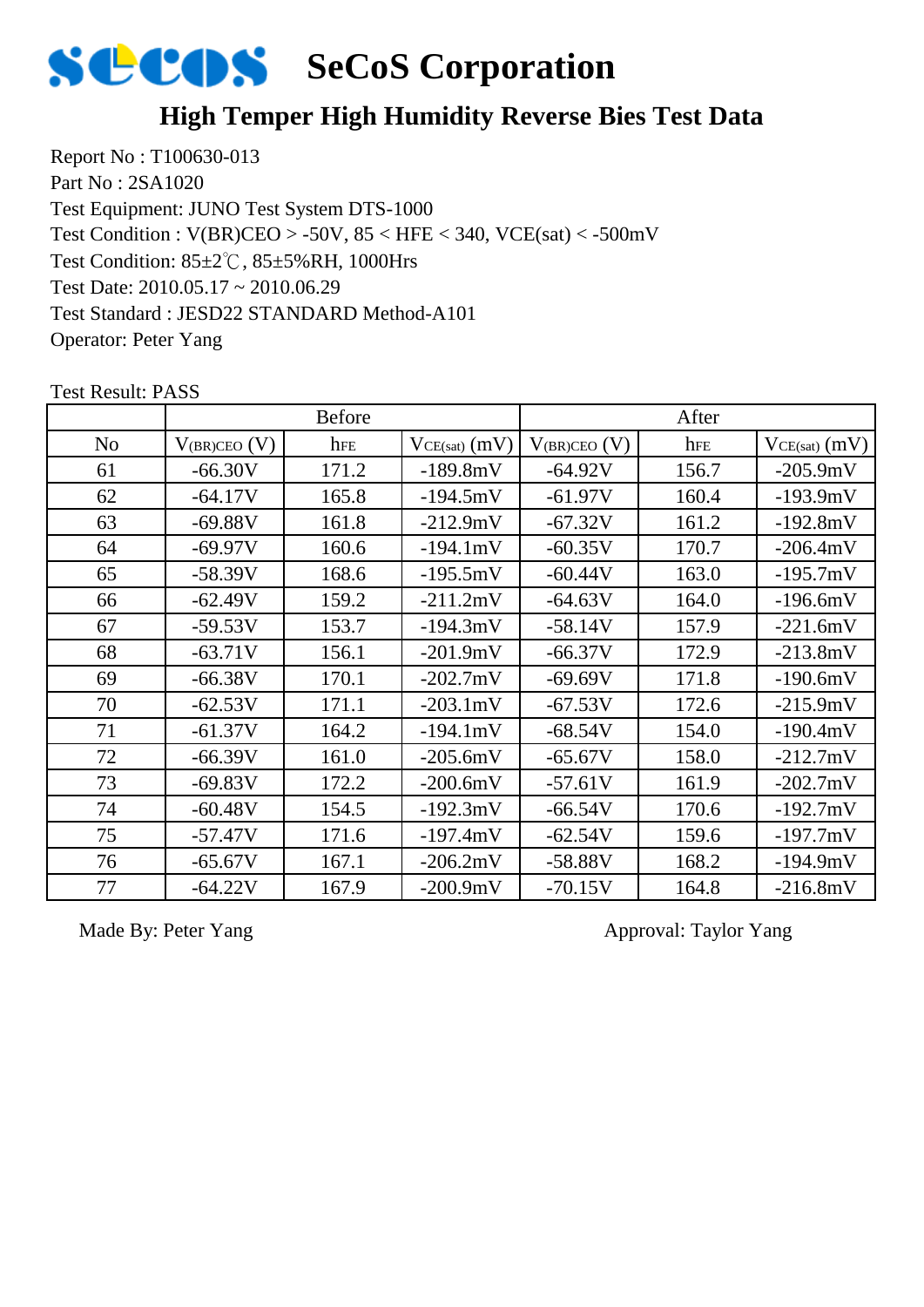

# **High Temper High Humidity Reverse Bies Test Data**

Report No : T100630-013 Part No : 2SA1020 Test Equipment: JUNO Test System DTS-1000 Test Condition: 85±2℃, 85±5%RH, 1000Hrs Test Date: 2010.05.17 ~ 2010.06.29 Test Standard : JESD22 STANDARD Method-A101 Operator: Peter Yang Test Condition : V(BR)CEO > -50V, 85 < HFE < 340, VCE(sat) < -500mV

|    |                   | <b>Before</b> |                    |                   | After |                   |
|----|-------------------|---------------|--------------------|-------------------|-------|-------------------|
| No | $V_{(BR)CEO}$ (V) | hFE           | $VCE(sat)$ $(mV)$  | $V_{(BR)CEO} (V)$ | hFE   | $VCE(sat)$ $(mV)$ |
| 61 | $-66.30V$         | 171.2         | $-189.8mV$         | $-64.92V$         | 156.7 | $-205.9mV$        |
| 62 | $-64.17V$         | 165.8         | $-194.5mV$         | $-61.97V$         | 160.4 | $-193.9mV$        |
| 63 | $-69.88V$         | 161.8         | $-212.9mV$         | $-67.32V$         | 161.2 | $-192.8mV$        |
| 64 | $-69.97V$         | 160.6         | $-194.1mV$         | $-60.35V$         | 170.7 | $-206.4mV$        |
| 65 | $-58.39V$         | 168.6         | $-195.5mV$         | $-60.44V$         | 163.0 | $-195.7mV$        |
| 66 | $-62.49V$         | 159.2         | $-211.2mV$         | $-64.63V$         | 164.0 | $-196.6mV$        |
| 67 | $-59.53V$         | 153.7         | $-194.3mV$         | $-58.14V$         | 157.9 | $-221.6mV$        |
| 68 | $-63.71V$         | 156.1         | $-201.9mV$         | $-66.37V$         | 172.9 | $-213.8mV$        |
| 69 | $-66.38V$         | 170.1         | $-202.7$ mV        | $-69.69V$         | 171.8 | $-190.6mV$        |
| 70 | $-62.53V$         | 171.1         | $-203.1 \text{mV}$ | $-67.53V$         | 172.6 | $-215.9mV$        |
| 71 | $-61.37V$         | 164.2         | $-194.1mV$         | $-68.54V$         | 154.0 | $-190.4mV$        |
| 72 | $-66.39V$         | 161.0         | $-205.6mV$         | $-65.67V$         | 158.0 | $-212.7mV$        |
| 73 | $-69.83V$         | 172.2         | $-200.6mV$         | $-57.61V$         | 161.9 | $-202.7mV$        |
| 74 | $-60.48V$         | 154.5         | $-192.3mV$         | $-66.54V$         | 170.6 | $-192.7mV$        |
| 75 | $-57.47V$         | 171.6         | $-197.4mV$         | $-62.54V$         | 159.6 | $-197.7mV$        |
| 76 | $-65.67V$         | 167.1         | $-206.2mV$         | $-58.88V$         | 168.2 | $-194.9mV$        |
| 77 | $-64.22V$         | 167.9         | $-200.9mV$         | $-70.15V$         | 164.8 | $-216.8mV$        |

Test Result: PASS